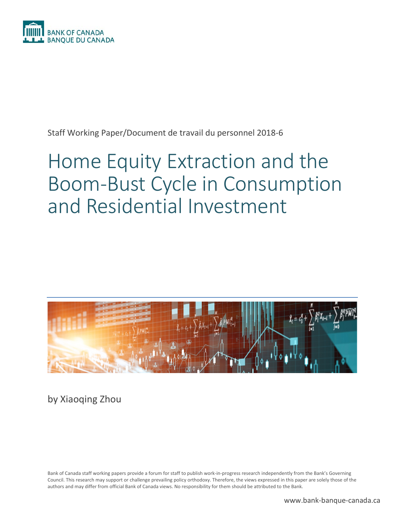

Staff Working Paper/Document de travail du personnel 2018-6

# Home Equity Extraction and the Boom-Bust Cycle in Consumption and Residential Investment



by Xiaoqing Zhou

Bank of Canada staff working papers provide a forum for staff to publish work-in-progress research independently from the Bank's Governing Council. This research may support or challenge prevailing policy orthodoxy. Therefore, the views expressed in this paper are solely those of the authors and may differ from official Bank of Canada views. No responsibility for them should be attributed to the Bank.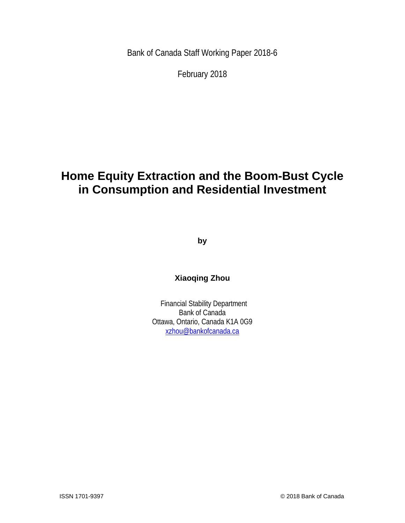Bank of Canada Staff Working Paper 2018-6

February 2018

# **Home Equity Extraction and the Boom-Bust Cycle in Consumption and Residential Investment**

**by**

**Xiaoqing Zhou**

Financial Stability Department Bank of Canada Ottawa, Ontario, Canada K1A 0G9 [xzhou@bankofcanada.ca](mailto:xzhou@bankofcanada.ca)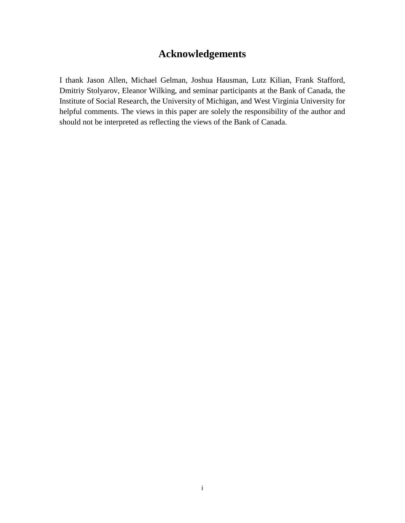## **Acknowledgements**

I thank Jason Allen, Michael Gelman, Joshua Hausman, Lutz Kilian, Frank Stafford, Dmitriy Stolyarov, Eleanor Wilking, and seminar participants at the Bank of Canada, the Institute of Social Research, the University of Michigan, and West Virginia University for helpful comments. The views in this paper are solely the responsibility of the author and should not be interpreted as reflecting the views of the Bank of Canada.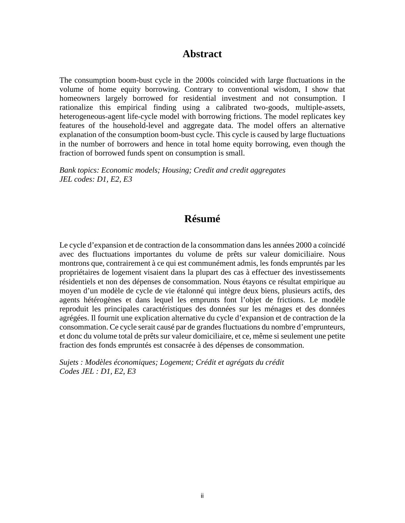### **Abstract**

The consumption boom-bust cycle in the 2000s coincided with large fluctuations in the volume of home equity borrowing. Contrary to conventional wisdom, I show that homeowners largely borrowed for residential investment and not consumption. I rationalize this empirical finding using a calibrated two-goods, multiple-assets, heterogeneous-agent life-cycle model with borrowing frictions. The model replicates key features of the household-level and aggregate data. The model offers an alternative explanation of the consumption boom-bust cycle. This cycle is caused by large fluctuations in the number of borrowers and hence in total home equity borrowing, even though the fraction of borrowed funds spent on consumption is small.

*Bank topics: Economic models; Housing; Credit and credit aggregates JEL codes: D1, E2, E3*

### **Résumé**

Le cycle d'expansion et de contraction de la consommation dans les années 2000 a coïncidé avec des fluctuations importantes du volume de prêts sur valeur domiciliaire. Nous montrons que, contrairement à ce qui est communément admis, les fonds empruntés par les propriétaires de logement visaient dans la plupart des cas à effectuer des investissements résidentiels et non des dépenses de consommation. Nous étayons ce résultat empirique au moyen d'un modèle de cycle de vie étalonné qui intègre deux biens, plusieurs actifs, des agents hétérogènes et dans lequel les emprunts font l'objet de frictions. Le modèle reproduit les principales caractéristiques des données sur les ménages et des données agrégées. Il fournit une explication alternative du cycle d'expansion et de contraction de la consommation. Ce cycle serait causé par de grandes fluctuations du nombre d'emprunteurs, et donc du volume total de prêts sur valeur domiciliaire, et ce, même si seulement une petite fraction des fonds empruntés est consacrée à des dépenses de consommation.

*Sujets : Modèles économiques; Logement; Crédit et agrégats du crédit Codes JEL : D1, E2, E3*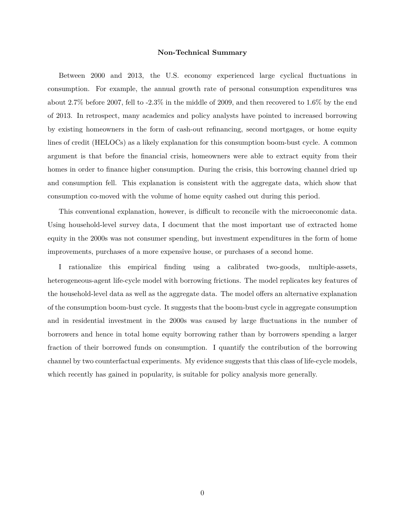#### **Non-Technical Summary**

Between 2000 and 2013, the U.S. economy experienced large cyclical fluctuations in consumption. For example, the annual growth rate of personal consumption expenditures was about 2.7% before 2007, fell to -2.3% in the middle of 2009, and then recovered to 1.6% by the end of 2013. In retrospect, many academics and policy analysts have pointed to increased borrowing by existing homeowners in the form of cash-out refinancing, second mortgages, or home equity lines of credit (HELOCs) as a likely explanation for this consumption boom-bust cycle. A common argument is that before the financial crisis, homeowners were able to extract equity from their homes in order to finance higher consumption. During the crisis, this borrowing channel dried up and consumption fell. This explanation is consistent with the aggregate data, which show that consumption co-moved with the volume of home equity cashed out during this period.

This conventional explanation, however, is difficult to reconcile with the microeconomic data. Using household-level survey data, I document that the most important use of extracted home equity in the 2000s was not consumer spending, but investment expenditures in the form of home improvements, purchases of a more expensive house, or purchases of a second home.

I rationalize this empirical finding using a calibrated two-goods, multiple-assets, heterogeneous-agent life-cycle model with borrowing frictions. The model replicates key features of the household-level data as well as the aggregate data. The model offers an alternative explanation of the consumption boom-bust cycle. It suggests that the boom-bust cycle in aggregate consumption and in residential investment in the 2000s was caused by large fluctuations in the number of borrowers and hence in total home equity borrowing rather than by borrowers spending a larger fraction of their borrowed funds on consumption. I quantify the contribution of the borrowing channel by two counterfactual experiments. My evidence suggests that this class of life-cycle models, which recently has gained in popularity, is suitable for policy analysis more generally.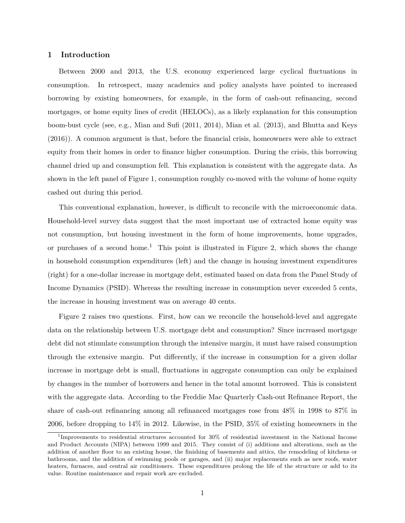#### **1 Introduction**

Between 2000 and 2013, the U.S. economy experienced large cyclical fluctuations in consumption. In retrospect, many academics and policy analysts have pointed to increased borrowing by existing homeowners, for example, in the form of cash-out refinancing, second mortgages, or home equity lines of credit (HELOCs), as a likely explanation for this consumption boom-bust cycle (see, e.g., [Mian and Sufi](#page-38-0) [\(2011,](#page-38-0) [2014\)](#page-38-1), [Mian et al.](#page-38-2) [\(2013\)](#page-38-2), and [Bhutta and Keys](#page-37-0) [\(2016\)](#page-37-0)). A common argument is that, before the financial crisis, homeowners were able to extract equity from their homes in order to finance higher consumption. During the crisis, this borrowing channel dried up and consumption fell. This explanation is consistent with the aggregate data. As shown in the left panel of Figure [1,](#page-40-0) consumption roughly co-moved with the volume of home equity cashed out during this period.

This conventional explanation, however, is difficult to reconcile with the microeconomic data. Household-level survey data suggest that the most important use of extracted home equity was not consumption, but housing investment in the form of home improvements, home upgrades, or purchases of a second home.<sup>1</sup> This point is illustrated in Figure [2,](#page-40-1) which shows the change in household consumption expenditures (left) and the change in housing investment expenditures (right) for a one-dollar increase in mortgage debt, estimated based on data from the Panel Study of Income Dynamics (PSID). Whereas the resulting increase in consumption never exceeded 5 cents, the increase in housing investment was on average 40 cents.

Figure [2](#page-40-1) raises two questions. First, how can we reconcile the household-level and aggregate data on the relationship between U.S. mortgage debt and consumption? Since increased mortgage debt did not stimulate consumption through the intensive margin, it must have raised consumption through the extensive margin. Put differently, if the increase in consumption for a given dollar increase in mortgage debt is small, fluctuations in aggregate consumption can only be explained by changes in the number of borrowers and hence in the total amount borrowed. This is consistent with the aggregate data. According to the Freddie Mac Quarterly Cash-out Refinance Report, the share of cash-out refinancing among all refinanced mortgages rose from 48% in 1998 to 87% in 2006, before dropping to 14% in 2012. Likewise, in the PSID, 35% of existing homeowners in the

<sup>1</sup> Improvements to residential structures accounted for 30% of residential investment in the National Income and Product Accounts (NIPA) between 1999 and 2015. They consist of (i) additions and alterations, such as the addition of another floor to an existing house, the finishing of basements and attics, the remodeling of kitchens or bathrooms, and the addition of swimming pools or garages, and (ii) major replacements such as new roofs, water heaters, furnaces, and central air conditioners. These expenditures prolong the life of the structure or add to its value. Routine maintenance and repair work are excluded.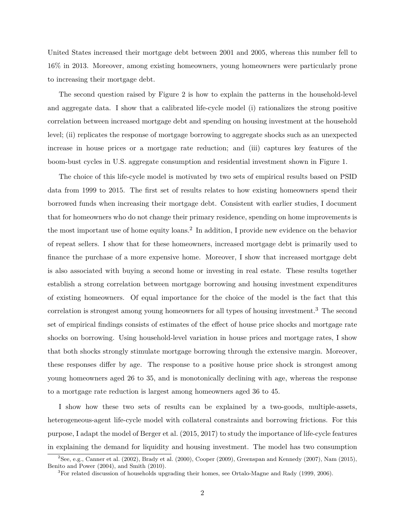United States increased their mortgage debt between 2001 and 2005, whereas this number fell to 16% in 2013. Moreover, among existing homeowners, young homeowners were particularly prone to increasing their mortgage debt.

The second question raised by Figure [2](#page-40-1) is how to explain the patterns in the household-level and aggregate data. I show that a calibrated life-cycle model (i) rationalizes the strong positive correlation between increased mortgage debt and spending on housing investment at the household level; (ii) replicates the response of mortgage borrowing to aggregate shocks such as an unexpected increase in house prices or a mortgage rate reduction; and (iii) captures key features of the boom-bust cycles in U.S. aggregate consumption and residential investment shown in Figure [1.](#page-40-0)

The choice of this life-cycle model is motivated by two sets of empirical results based on PSID data from 1999 to 2015. The first set of results relates to how existing homeowners spend their borrowed funds when increasing their mortgage debt. Consistent with earlier studies, I document that for homeowners who do not change their primary residence, spending on home improvements is the most important use of home equity loans.<sup>2</sup> In addition, I provide new evidence on the behavior of repeat sellers. I show that for these homeowners, increased mortgage debt is primarily used to finance the purchase of a more expensive home. Moreover, I show that increased mortgage debt is also associated with buying a second home or investing in real estate. These results together establish a strong correlation between mortgage borrowing and housing investment expenditures of existing homeowners. Of equal importance for the choice of the model is the fact that this correlation is strongest among young homeowners for all types of housing investment.<sup>3</sup> The second set of empirical findings consists of estimates of the effect of house price shocks and mortgage rate shocks on borrowing. Using household-level variation in house prices and mortgage rates, I show that both shocks strongly stimulate mortgage borrowing through the extensive margin. Moreover, these responses differ by age. The response to a positive house price shock is strongest among young homeowners aged 26 to 35, and is monotonically declining with age, whereas the response to a mortgage rate reduction is largest among homeowners aged 36 to 45.

I show how these two sets of results can be explained by a two-goods, multiple-assets, heterogeneous-agent life-cycle model with collateral constraints and borrowing frictions. For this purpose, I adapt the model of [Berger et al.](#page-37-1) [\(2015,](#page-37-1) [2017\)](#page-37-2) to study the importance of life-cycle features in explaining the demand for liquidity and housing investment. The model has two consumption

 $^{2}$ See, e.g., [Canner et al.](#page-37-3) [\(2002\)](#page-37-3), [Brady et al.](#page-37-4) [\(2000\)](#page-37-4), [Cooper](#page-37-5) [\(2009\)](#page-37-5), [Greenspan and Kennedy](#page-38-3) [\(2007\)](#page-38-3), [Nam](#page-38-4) [\(2015\)](#page-38-4), [Benito and Power](#page-37-6) [\(2004\)](#page-37-6), and [Smith](#page-39-0) [\(2010\)](#page-39-0).

 ${}^{3}$  For related discussion of households upgrading their homes, see [Ortalo-Magne and Rady](#page-38-5) [\(1999,](#page-38-5) [2006\)](#page-38-6).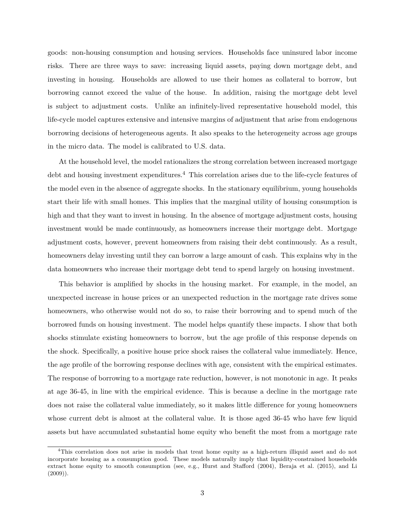goods: non-housing consumption and housing services. Households face uninsured labor income risks. There are three ways to save: increasing liquid assets, paying down mortgage debt, and investing in housing. Households are allowed to use their homes as collateral to borrow, but borrowing cannot exceed the value of the house. In addition, raising the mortgage debt level is subject to adjustment costs. Unlike an infinitely-lived representative household model, this life-cycle model captures extensive and intensive margins of adjustment that arise from endogenous borrowing decisions of heterogeneous agents. It also speaks to the heterogeneity across age groups in the micro data. The model is calibrated to U.S. data.

At the household level, the model rationalizes the strong correlation between increased mortgage debt and housing investment expenditures.<sup>4</sup> This correlation arises due to the life-cycle features of the model even in the absence of aggregate shocks. In the stationary equilibrium, young households start their life with small homes. This implies that the marginal utility of housing consumption is high and that they want to invest in housing. In the absence of mortgage adjustment costs, housing investment would be made continuously, as homeowners increase their mortgage debt. Mortgage adjustment costs, however, prevent homeowners from raising their debt continuously. As a result, homeowners delay investing until they can borrow a large amount of cash. This explains why in the data homeowners who increase their mortgage debt tend to spend largely on housing investment.

This behavior is amplified by shocks in the housing market. For example, in the model, an unexpected increase in house prices or an unexpected reduction in the mortgage rate drives some homeowners, who otherwise would not do so, to raise their borrowing and to spend much of the borrowed funds on housing investment. The model helps quantify these impacts. I show that both shocks stimulate existing homeowners to borrow, but the age profile of this response depends on the shock. Specifically, a positive house price shock raises the collateral value immediately. Hence, the age profile of the borrowing response declines with age, consistent with the empirical estimates. The response of borrowing to a mortgage rate reduction, however, is not monotonic in age. It peaks at age 36-45, in line with the empirical evidence. This is because a decline in the mortgage rate does not raise the collateral value immediately, so it makes little difference for young homeowners whose current debt is almost at the collateral value. It is those aged 36-45 who have few liquid assets but have accumulated substantial home equity who benefit the most from a mortgage rate

<sup>4</sup>This correlation does not arise in models that treat home equity as a high-return illiquid asset and do not incorporate housing as a consumption good. These models naturally imply that liquidity-constrained households extract home equity to smooth consumption (see, e.g., [Hurst and Stafford](#page-38-7) [\(2004\)](#page-38-7), [Beraja et al.](#page-37-7) [\(2015\)](#page-37-7), and [Li](#page-38-8)  $(2009)$ ).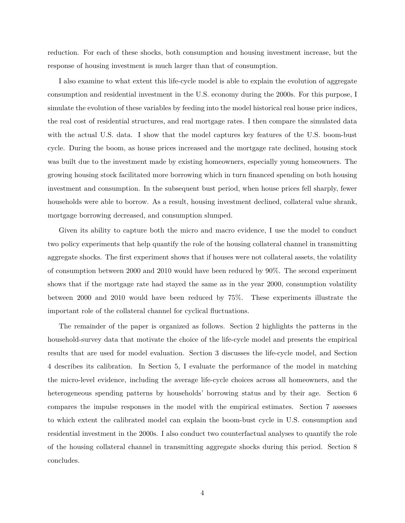reduction. For each of these shocks, both consumption and housing investment increase, but the response of housing investment is much larger than that of consumption.

I also examine to what extent this life-cycle model is able to explain the evolution of aggregate consumption and residential investment in the U.S. economy during the 2000s. For this purpose, I simulate the evolution of these variables by feeding into the model historical real house price indices, the real cost of residential structures, and real mortgage rates. I then compare the simulated data with the actual U.S. data. I show that the model captures key features of the U.S. boom-bust cycle. During the boom, as house prices increased and the mortgage rate declined, housing stock was built due to the investment made by existing homeowners, especially young homeowners. The growing housing stock facilitated more borrowing which in turn financed spending on both housing investment and consumption. In the subsequent bust period, when house prices fell sharply, fewer households were able to borrow. As a result, housing investment declined, collateral value shrank, mortgage borrowing decreased, and consumption slumped.

Given its ability to capture both the micro and macro evidence, I use the model to conduct two policy experiments that help quantify the role of the housing collateral channel in transmitting aggregate shocks. The first experiment shows that if houses were not collateral assets, the volatility of consumption between 2000 and 2010 would have been reduced by 90%. The second experiment shows that if the mortgage rate had stayed the same as in the year 2000, consumption volatility between 2000 and 2010 would have been reduced by 75%. These experiments illustrate the important role of the collateral channel for cyclical fluctuations.

<span id="page-8-0"></span>The remainder of the paper is organized as follows. Section [2](#page-8-0) highlights the patterns in the household-survey data that motivate the choice of the life-cycle model and presents the empirical results that are used for model evaluation. Section [3](#page-20-0) discusses the life-cycle model, and Section [4](#page-24-0) describes its calibration. In Section [5,](#page-26-0) I evaluate the performance of the model in matching the micro-level evidence, including the average life-cycle choices across all homeowners, and the heterogeneous spending patterns by households' borrowing status and by their age. Section [6](#page-30-0) compares the impulse responses in the model with the empirical estimates. Section [7](#page-32-0) assesses to which extent the calibrated model can explain the boom-bust cycle in U.S. consumption and residential investment in the 2000s. I also conduct two counterfactual analyses to quantify the role of the housing collateral channel in transmitting aggregate shocks during this period. Section [8](#page-35-0) concludes.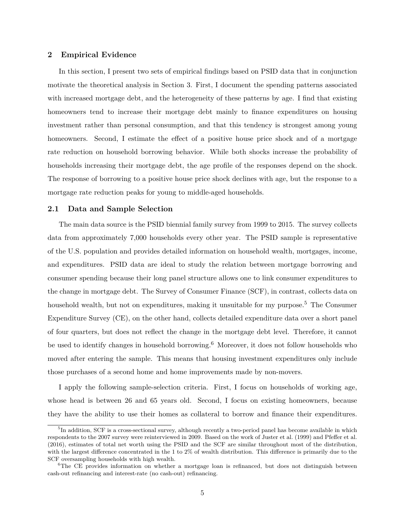#### **2 Empirical Evidence**

In this section, I present two sets of empirical findings based on PSID data that in conjunction motivate the theoretical analysis in Section [3.](#page-20-0) First, I document the spending patterns associated with increased mortgage debt, and the heterogeneity of these patterns by age. I find that existing homeowners tend to increase their mortgage debt mainly to finance expenditures on housing investment rather than personal consumption, and that this tendency is strongest among young homeowners. Second, I estimate the effect of a positive house price shock and of a mortgage rate reduction on household borrowing behavior. While both shocks increase the probability of households increasing their mortgage debt, the age profile of the responses depend on the shock. The response of borrowing to a positive house price shock declines with age, but the response to a mortgage rate reduction peaks for young to middle-aged households.

#### <span id="page-9-0"></span>**2.1 Data and Sample Selection**

The main data source is the PSID biennial family survey from 1999 to 2015. The survey collects data from approximately 7,000 households every other year. The PSID sample is representative of the U.S. population and provides detailed information on household wealth, mortgages, income, and expenditures. PSID data are ideal to study the relation between mortgage borrowing and consumer spending because their long panel structure allows one to link consumer expenditures to the change in mortgage debt. The Survey of Consumer Finance (SCF), in contrast, collects data on household wealth, but not on expenditures, making it unsuitable for my purpose.<sup>5</sup> The Consumer Expenditure Survey (CE), on the other hand, collects detailed expenditure data over a short panel of four quarters, but does not reflect the change in the mortgage debt level. Therefore, it cannot be used to identify changes in household borrowing.<sup>6</sup> Moreover, it does not follow households who moved after entering the sample. This means that housing investment expenditures only include those purchases of a second home and home improvements made by non-movers.

I apply the following sample-selection criteria. First, I focus on households of working age, whose head is between 26 and 65 years old. Second, I focus on existing homeowners, because they have the ability to use their homes as collateral to borrow and finance their expenditures.

<sup>&</sup>lt;sup>5</sup>In addition, SCF is a cross-sectional survey, although recently a two-period panel has become available in which respondents to the 2007 survey were reinterviewed in 2009. Based on the work of [Juster et al.](#page-38-9) [\(1999\)](#page-38-9) and [Pfeffer et al.](#page-39-1) [\(2016\)](#page-39-1), estimates of total net worth using the PSID and the SCF are similar throughout most of the distribution, with the largest difference concentrated in the 1 to 2% of wealth distribution. This difference is primarily due to the SCF oversampling households with high wealth.

 $6$ The CE provides information on whether a mortgage loan is refinanced, but does not distinguish between cash-out refinancing and interest-rate (no cash-out) refinancing.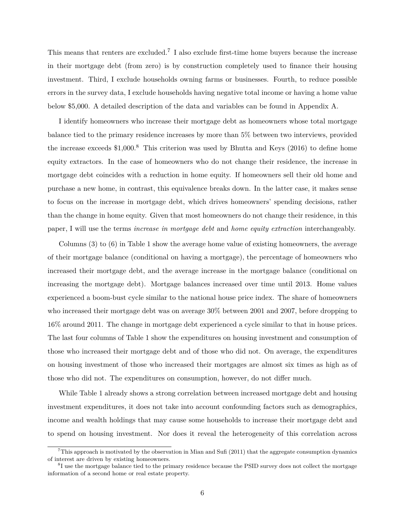This means that renters are excluded.<sup>7</sup> I also exclude first-time home buyers because the increase in their mortgage debt (from zero) is by construction completely used to finance their housing investment. Third, I exclude households owning farms or businesses. Fourth, to reduce possible errors in the survey data, I exclude households having negative total income or having a home value below \$5,000. A detailed description of the data and variables can be found in Appendix [A.](#page-53-0)

I identify homeowners who increase their mortgage debt as homeowners whose total mortgage balance tied to the primary residence increases by more than 5% between two interviews, provided the increase exceeds  $$1,000$ .<sup>8</sup> This criterion was used by [Bhutta and Keys](#page-37-0) [\(2016\)](#page-37-0) to define home equity extractors. In the case of homeowners who do not change their residence, the increase in mortgage debt coincides with a reduction in home equity. If homeowners sell their old home and purchase a new home, in contrast, this equivalence breaks down. In the latter case, it makes sense to focus on the increase in mortgage debt, which drives homeowners' spending decisions, rather than the change in home equity. Given that most homeowners do not change their residence, in this paper, I will use the terms *increase in mortgage debt* and *home equity extraction* interchangeably.

Columns (3) to (6) in Table [1](#page-44-0) show the average home value of existing homeowners, the average of their mortgage balance (conditional on having a mortgage), the percentage of homeowners who increased their mortgage debt, and the average increase in the mortgage balance (conditional on increasing the mortgage debt). Mortgage balances increased over time until 2013. Home values experienced a boom-bust cycle similar to the national house price index. The share of homeowners who increased their mortgage debt was on average 30% between 2001 and 2007, before dropping to 16% around 2011. The change in mortgage debt experienced a cycle similar to that in house prices. The last four columns of Table [1](#page-44-0) show the expenditures on housing investment and consumption of those who increased their mortgage debt and of those who did not. On average, the expenditures on housing investment of those who increased their mortgages are almost six times as high as of those who did not. The expenditures on consumption, however, do not differ much.

While Table [1](#page-44-0) already shows a strong correlation between increased mortgage debt and housing investment expenditures, it does not take into account confounding factors such as demographics, income and wealth holdings that may cause some households to increase their mortgage debt and to spend on housing investment. Nor does it reveal the heterogeneity of this correlation across

<sup>&</sup>lt;sup>7</sup>This approach is motivated by the observation in [Mian and Sufi](#page-38-0) [\(2011\)](#page-38-0) that the aggregate consumption dynamics of interest are driven by existing homeowners.

<sup>&</sup>lt;sup>8</sup>I use the mortgage balance tied to the primary residence because the PSID survey does not collect the mortgage information of a second home or real estate property.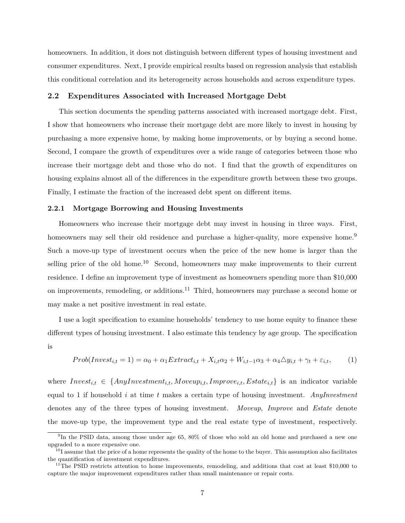homeowners. In addition, it does not distinguish between different types of housing investment and consumer expenditures. Next, I provide empirical results based on regression analysis that establish this conditional correlation and its heterogeneity across households and across expenditure types.

#### <span id="page-11-1"></span>**2.2 Expenditures Associated with Increased Mortgage Debt**

This section documents the spending patterns associated with increased mortgage debt. First, I show that homeowners who increase their mortgage debt are more likely to invest in housing by purchasing a more expensive home, by making home improvements, or by buying a second home. Second, I compare the growth of expenditures over a wide range of categories between those who increase their mortgage debt and those who do not. I find that the growth of expenditures on housing explains almost all of the differences in the expenditure growth between these two groups. Finally, I estimate the fraction of the increased debt spent on different items.

#### **2.2.1 Mortgage Borrowing and Housing Investments**

Homeowners who increase their mortgage debt may invest in housing in three ways. First, homeowners may sell their old residence and purchase a higher-quality, more expensive home.<sup>9</sup> Such a move-up type of investment occurs when the price of the new home is larger than the selling price of the old home.<sup>10</sup> Second, homeowners may make improvements to their current residence. I define an improvement type of investment as homeowners spending more than \$10,000 on improvements, remodeling, or additions.<sup>11</sup> Third, homeowners may purchase a second home or may make a net positive investment in real estate.

<span id="page-11-0"></span>I use a logit specification to examine households' tendency to use home equity to finance these different types of housing investment. I also estimate this tendency by age group. The specification is

$$
Prob(Invest_{i,t} = 1) = \alpha_0 + \alpha_1 Extract_{i,t} + X_{i,t}\alpha_2 + W_{i,t-1}\alpha_3 + \alpha_4\Delta y_{i,t} + \gamma_t + \varepsilon_{i,t},\tag{1}
$$

where  $Invest_{i,t} \in \{AnyInvestment_{i,t}, Moveup_{i,t}, Improve_{i,t}, Estate_{i,t}\}$  is an indicator variable equal to 1 if household *i* at time *t* makes a certain type of housing investment. *AnyInvestment* denotes any of the three types of housing investment. *Moveup*, *Improve* and *Estate* denote the move-up type, the improvement type and the real estate type of investment, respectively.

<sup>9</sup> In the PSID data, among those under age 65, 80% of those who sold an old home and purchased a new one upgraded to a more expensive one.

 $10<sup>10</sup>$  assume that the price of a home represents the quality of the home to the buyer. This assumption also facilitates the quantification of investment expenditures.

<sup>&</sup>lt;sup>11</sup>The PSID restricts attention to home improvements, remodeling, and additions that cost at least \$10,000 to capture the major improvement expenditures rather than small maintenance or repair costs.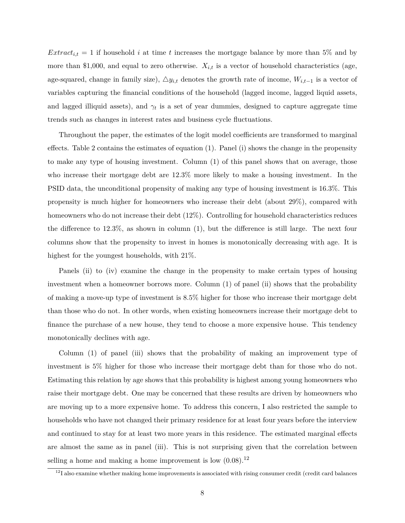*Extract<sub>i,t</sub>* = 1 if household *i* at time *t* increases the mortgage balance by more than 5% and by more than \$1,000, and equal to zero otherwise.  $X_{i,t}$  is a vector of household characteristics (age, age-squared, change in family size),  $\Delta y_{i,t}$  denotes the growth rate of income,  $W_{i,t-1}$  is a vector of variables capturing the financial conditions of the household (lagged income, lagged liquid assets, and lagged illiquid assets), and  $\gamma_t$  is a set of year dummies, designed to capture aggregate time trends such as changes in interest rates and business cycle fluctuations.

Throughout the paper, the estimates of the logit model coefficients are transformed to marginal effects. Table [2](#page-45-0) contains the estimates of equation [\(1\)](#page-11-0). Panel (i) shows the change in the propensity to make any type of housing investment. Column (1) of this panel shows that on average, those who increase their mortgage debt are 12.3% more likely to make a housing investment. In the PSID data, the unconditional propensity of making any type of housing investment is 16.3%. This propensity is much higher for homeowners who increase their debt (about 29%), compared with homeowners who do not increase their debt (12%). Controlling for household characteristics reduces the difference to 12.3%, as shown in column (1), but the difference is still large. The next four columns show that the propensity to invest in homes is monotonically decreasing with age. It is highest for the youngest households, with 21%.

Panels (ii) to (iv) examine the change in the propensity to make certain types of housing investment when a homeowner borrows more. Column (1) of panel (ii) shows that the probability of making a move-up type of investment is 8.5% higher for those who increase their mortgage debt than those who do not. In other words, when existing homeowners increase their mortgage debt to finance the purchase of a new house, they tend to choose a more expensive house. This tendency monotonically declines with age.

Column (1) of panel (iii) shows that the probability of making an improvement type of investment is 5% higher for those who increase their mortgage debt than for those who do not. Estimating this relation by age shows that this probability is highest among young homeowners who raise their mortgage debt. One may be concerned that these results are driven by homeowners who are moving up to a more expensive home. To address this concern, I also restricted the sample to households who have not changed their primary residence for at least four years before the interview and continued to stay for at least two more years in this residence. The estimated marginal effects are almost the same as in panel (iii). This is not surprising given that the correlation between selling a home and making a home improvement is low  $(0.08)$ .<sup>12</sup>

 $12$ I also examine whether making home improvements is associated with rising consumer credit (credit card balances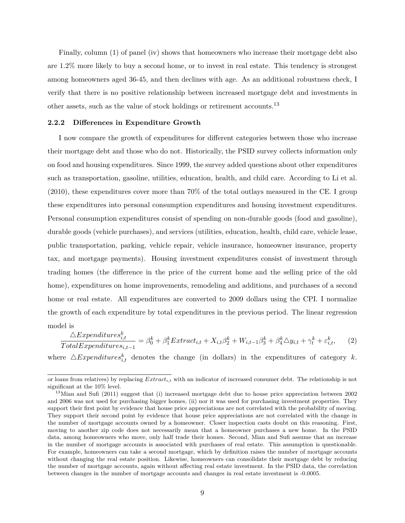Finally, column (1) of panel (iv) shows that homeowners who increase their mortgage debt also are 1.2% more likely to buy a second home, or to invest in real estate. This tendency is strongest among homeowners aged 36-45, and then declines with age. As an additional robustness check, I verify that there is no positive relationship between increased mortgage debt and investments in other assets, such as the value of stock holdings or retirement accounts.<sup>13</sup>

#### **2.2.2 Differences in Expenditure Growth**

I now compare the growth of expenditures for different categories between those who increase their mortgage debt and those who do not. Historically, the PSID survey collects information only on food and housing expenditures. Since 1999, the survey added questions about other expenditures such as transportation, gasoline, utilities, education, health, and child care. According to [Li et al.](#page-38-10) [\(2010\)](#page-38-10), these expenditures cover more than 70% of the total outlays measured in the CE. I group these expenditures into personal consumption expenditures and housing investment expenditures. Personal consumption expenditures consist of spending on non-durable goods (food and gasoline), durable goods (vehicle purchases), and services (utilities, education, health, child care, vehicle lease, public transportation, parking, vehicle repair, vehicle insurance, homeowner insurance, property tax, and mortgage payments). Housing investment expenditures consist of investment through trading homes (the difference in the price of the current home and the selling price of the old home), expenditures on home improvements, remodeling and additions, and purchases of a second home or real estate. All expenditures are converted to 2009 dollars using the CPI. I normalize the growth of each expenditure by total expenditures in the previous period. The linear regression model is

<span id="page-13-0"></span> $\triangle Expendatures^{k}_{i,t}$  $\frac{\Delta E}{Total Expenditures_{i,t-1}} = \beta_0^k + \beta_1^k Extract_{i,t} + X_{i,t}\beta_2^k + W_{i,t-1}\beta_3^k + \beta_4^k \Delta y_{i,t} + \gamma_t^k + \varepsilon_{i,t}^k,$  (2)

where  $\triangle Expenditures^{k}_{i,t}$  denotes the change (in dollars) in the expenditures of category *k*.

or loans from relatives) by replacing *Extracti,t* with an indicator of increased consumer debt. The relationship is not significant at the 10% level.

<sup>&</sup>lt;sup>13</sup>[Mian and Sufi](#page-38-0) [\(2011\)](#page-38-0) suggest that (i) increased mortgage debt due to house price appreciation between 2002 and 2006 was not used for purchasing bigger homes, (ii) nor it was used for purchasing investment properties. They support their first point by evidence that house price appreciations are not correlated with the probability of moving. They support their second point by evidence that house price appreciations are not correlated with the change in the number of mortgage accounts owned by a homeowner. Closer inspection casts doubt on this reasoning. First, moving to another zip code does not necessarily mean that a homeowner purchases a new home. In the PSID data, among homeowners who move, only half trade their homes. Second, Mian and Sufi assume that an increase in the number of mortgage accounts is associated with purchases of real estate. This assumption is questionable. For example, homeowners can take a second mortgage, which by definition raises the number of mortgage accounts without changing the real estate position. Likewise, homeowners can consolidate their mortgage debt by reducing the number of mortgage accounts, again without affecting real estate investment. In the PSID data, the correlation between changes in the number of mortgage accounts and changes in real estate investment is -0.0005.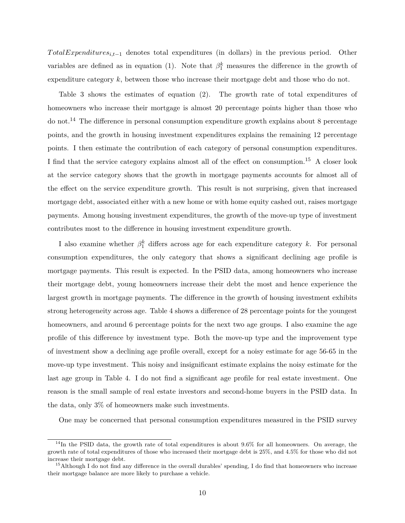*T otalExpendituresi,t*−<sup>1</sup> denotes total expenditures (in dollars) in the previous period. Other variables are defined as in equation [\(1\)](#page-11-0). Note that  $\beta_1^k$  measures the difference in the growth of expenditure category *k*, between those who increase their mortgage debt and those who do not.

Table [3](#page-46-0) shows the estimates of equation [\(2\)](#page-13-0). The growth rate of total expenditures of homeowners who increase their mortgage is almost 20 percentage points higher than those who do not.<sup>14</sup> The difference in personal consumption expenditure growth explains about 8 percentage points, and the growth in housing investment expenditures explains the remaining 12 percentage points. I then estimate the contribution of each category of personal consumption expenditures. I find that the service category explains almost all of the effect on consumption.<sup>15</sup> A closer look at the service category shows that the growth in mortgage payments accounts for almost all of the effect on the service expenditure growth. This result is not surprising, given that increased mortgage debt, associated either with a new home or with home equity cashed out, raises mortgage payments. Among housing investment expenditures, the growth of the move-up type of investment contributes most to the difference in housing investment expenditure growth.

I also examine whether  $\beta_1^k$  differs across age for each expenditure category *k*. For personal consumption expenditures, the only category that shows a significant declining age profile is mortgage payments. This result is expected. In the PSID data, among homeowners who increase their mortgage debt, young homeowners increase their debt the most and hence experience the largest growth in mortgage payments. The difference in the growth of housing investment exhibits strong heterogeneity across age. Table [4](#page-47-0) shows a difference of 28 percentage points for the youngest homeowners, and around 6 percentage points for the next two age groups. I also examine the age profile of this difference by investment type. Both the move-up type and the improvement type of investment show a declining age profile overall, except for a noisy estimate for age 56-65 in the move-up type investment. This noisy and insignificant estimate explains the noisy estimate for the last age group in Table [4.](#page-47-0) I do not find a significant age profile for real estate investment. One reason is the small sample of real estate investors and second-home buyers in the PSID data. In the data, only 3% of homeowners make such investments.

One may be concerned that personal consumption expenditures measured in the PSID survey

 $14$ In the PSID data, the growth rate of total expenditures is about 9.6% for all homeowners. On average, the growth rate of total expenditures of those who increased their mortgage debt is 25%, and 4.5% for those who did not increase their mortgage debt.

<sup>&</sup>lt;sup>15</sup>Although I do not find any difference in the overall durables' spending, I do find that homeowners who increase their mortgage balance are more likely to purchase a vehicle.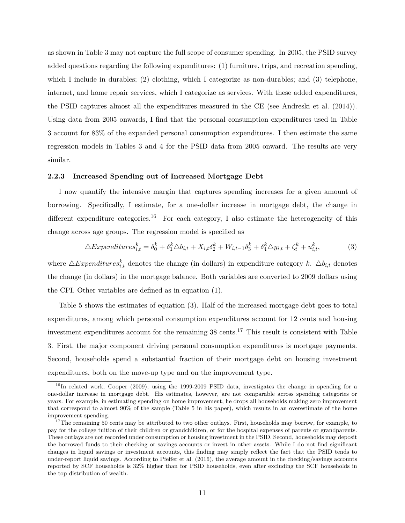as shown in Table [3](#page-46-0) may not capture the full scope of consumer spending. In 2005, the PSID survey added questions regarding the following expenditures: (1) furniture, trips, and recreation spending, which I include in durables; (2) clothing, which I categorize as non-durables; and (3) telephone, internet, and home repair services, which I categorize as services. With these added expenditures, the PSID captures almost all the expenditures measured in the CE (see [Andreski et al.](#page-37-8) [\(2014\)](#page-37-8)). Using data from 2005 onwards, I find that the personal consumption expenditures used in Table [3](#page-46-0) account for 83% of the expanded personal consumption expenditures. I then estimate the same regression models in Tables [3](#page-46-0) and [4](#page-47-0) for the PSID data from 2005 onward. The results are very similar.

#### **2.2.3 Increased Spending out of Increased Mortgage Debt**

I now quantify the intensive margin that captures spending increases for a given amount of borrowing. Specifically, I estimate, for a one-dollar increase in mortgage debt, the change in different expenditure categories.<sup>16</sup> For each category, I also estimate the heterogeneity of this change across age groups. The regression model is specified as

<span id="page-15-0"></span>
$$
\triangle Expenditures_{i,t}^k = \delta_0^k + \delta_1^k \triangle b_{i,t} + X_{i,t}\delta_2^k + W_{i,t-1}\delta_3^k + \delta_4^k \triangle y_{i,t} + \zeta_t^k + u_{i,t}^k,\tag{3}
$$

where  $\triangle Expenditures^k_{i,t}$  denotes the change (in dollars) in expenditure category *k*.  $\triangle b_{i,t}$  denotes the change (in dollars) in the mortgage balance. Both variables are converted to 2009 dollars using the CPI. Other variables are defined as in equation [\(1\)](#page-11-0).

Table [5](#page-48-0) shows the estimates of equation [\(3\)](#page-15-0). Half of the increased mortgage debt goes to total expenditures, among which personal consumption expenditures account for 12 cents and housing investment expenditures account for the remaining 38 cents.<sup>17</sup> This result is consistent with Table [3.](#page-46-0) First, the major component driving personal consumption expenditures is mortgage payments. Second, households spend a substantial fraction of their mortgage debt on housing investment expenditures, both on the move-up type and on the improvement type.

<sup>&</sup>lt;sup>16</sup>In related work, [Cooper](#page-37-5) [\(2009\)](#page-37-5), using the 1999-2009 PSID data, investigates the change in spending for a one-dollar increase in mortgage debt. His estimates, however, are not comparable across spending categories or years. For example, in estimating spending on home improvement, he drops all households making zero improvement that correspond to almost 90% of the sample (Table 5 in his paper), which results in an overestimate of the home improvement spending.

<sup>&</sup>lt;sup>17</sup>The remaining 50 cents may be attributed to two other outlays. First, households may borrow, for example, to pay for the college tuition of their children or grandchildren, or for the hospital expenses of parents or grandparents. These outlays are not recorded under consumption or housing investment in the PSID. Second, households may deposit the borrowed funds to their checking or savings accounts or invest in other assets. While I do not find significant changes in liquid savings or investment accounts, this finding may simply reflect the fact that the PSID tends to under-report liquid savings. According to [Pfeffer et al.](#page-39-1) [\(2016\)](#page-39-1), the average amount in the checking/savings accounts reported by SCF households is 32% higher than for PSID households, even after excluding the SCF households in the top distribution of wealth.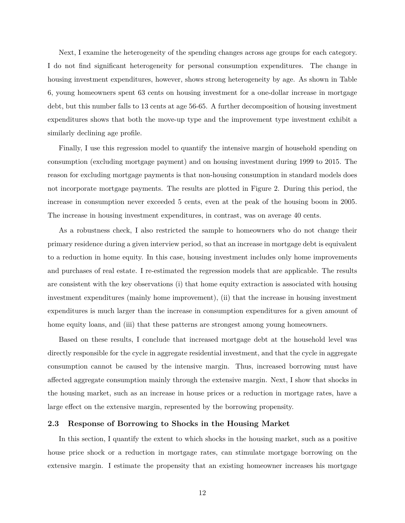Next, I examine the heterogeneity of the spending changes across age groups for each category. I do not find significant heterogeneity for personal consumption expenditures. The change in housing investment expenditures, however, shows strong heterogeneity by age. As shown in Table [6,](#page-49-0) young homeowners spent 63 cents on housing investment for a one-dollar increase in mortgage debt, but this number falls to 13 cents at age 56-65. A further decomposition of housing investment expenditures shows that both the move-up type and the improvement type investment exhibit a similarly declining age profile.

Finally, I use this regression model to quantify the intensive margin of household spending on consumption (excluding mortgage payment) and on housing investment during 1999 to 2015. The reason for excluding mortgage payments is that non-housing consumption in standard models does not incorporate mortgage payments. The results are plotted in Figure [2.](#page-40-1) During this period, the increase in consumption never exceeded 5 cents, even at the peak of the housing boom in 2005. The increase in housing investment expenditures, in contrast, was on average 40 cents.

As a robustness check, I also restricted the sample to homeowners who do not change their primary residence during a given interview period, so that an increase in mortgage debt is equivalent to a reduction in home equity. In this case, housing investment includes only home improvements and purchases of real estate. I re-estimated the regression models that are applicable. The results are consistent with the key observations (i) that home equity extraction is associated with housing investment expenditures (mainly home improvement), (ii) that the increase in housing investment expenditures is much larger than the increase in consumption expenditures for a given amount of home equity loans, and (iii) that these patterns are strongest among young homeowners.

Based on these results, I conclude that increased mortgage debt at the household level was directly responsible for the cycle in aggregate residential investment, and that the cycle in aggregate consumption cannot be caused by the intensive margin. Thus, increased borrowing must have affected aggregate consumption mainly through the extensive margin. Next, I show that shocks in the housing market, such as an increase in house prices or a reduction in mortgage rates, have a large effect on the extensive margin, represented by the borrowing propensity.

#### <span id="page-16-0"></span>**2.3 Response of Borrowing to Shocks in the Housing Market**

In this section, I quantify the extent to which shocks in the housing market, such as a positive house price shock or a reduction in mortgage rates, can stimulate mortgage borrowing on the extensive margin. I estimate the propensity that an existing homeowner increases his mortgage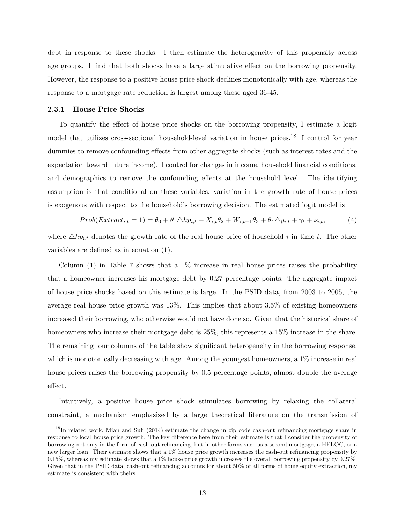debt in response to these shocks. I then estimate the heterogeneity of this propensity across age groups. I find that both shocks have a large stimulative effect on the borrowing propensity. However, the response to a positive house price shock declines monotonically with age, whereas the response to a mortgage rate reduction is largest among those aged 36-45.

#### **2.3.1 House Price Shocks**

To quantify the effect of house price shocks on the borrowing propensity, I estimate a logit model that utilizes cross-sectional household-level variation in house prices.<sup>18</sup> I control for year dummies to remove confounding effects from other aggregate shocks (such as interest rates and the expectation toward future income). I control for changes in income, household financial conditions, and demographics to remove the confounding effects at the household level. The identifying assumption is that conditional on these variables, variation in the growth rate of house prices is exogenous with respect to the household's borrowing decision. The estimated logit model is

<span id="page-17-0"></span>
$$
Prob(Extract_{i,t}=1)=\theta_0+\theta_1\triangle h p_{i,t}+X_{i,t}\theta_2+W_{i,t-1}\theta_3+\theta_4\triangle y_{i,t}+\gamma_t+\nu_{i,t},\tag{4}
$$

where  $\triangle hp_{i,t}$  denotes the growth rate of the real house price of household *i* in time *t*. The other variables are defined as in equation [\(1\)](#page-11-0).

Column (1) in Table [7](#page-49-1) shows that a 1% increase in real house prices raises the probability that a homeowner increases his mortgage debt by 0.27 percentage points. The aggregate impact of house price shocks based on this estimate is large. In the PSID data, from 2003 to 2005, the average real house price growth was 13%. This implies that about 3.5% of existing homeowners increased their borrowing, who otherwise would not have done so. Given that the historical share of homeowners who increase their mortgage debt is  $25\%$ , this represents a  $15\%$  increase in the share. The remaining four columns of the table show significant heterogeneity in the borrowing response, which is monotonically decreasing with age. Among the youngest homeowners, a 1% increase in real house prices raises the borrowing propensity by 0.5 percentage points, almost double the average effect.

Intuitively, a positive house price shock stimulates borrowing by relaxing the collateral constraint, a mechanism emphasized by a large theoretical literature on the transmission of

<sup>&</sup>lt;sup>18</sup>In related work, [Mian and Sufi](#page-38-1) [\(2014\)](#page-38-1) estimate the change in zip code cash-out refinancing mortgage share in response to local house price growth. The key difference here from their estimate is that I consider the propensity of borrowing not only in the form of cash-out refinancing, but in other forms such as a second mortgage, a HELOC, or a new larger loan. Their estimate shows that a 1% house price growth increases the cash-out refinancing propensity by 0.15%, whereas my estimate shows that a 1% house price growth increases the overall borrowing propensity by 0.27%. Given that in the PSID data, cash-out refinancing accounts for about 50% of all forms of home equity extraction, my estimate is consistent with theirs.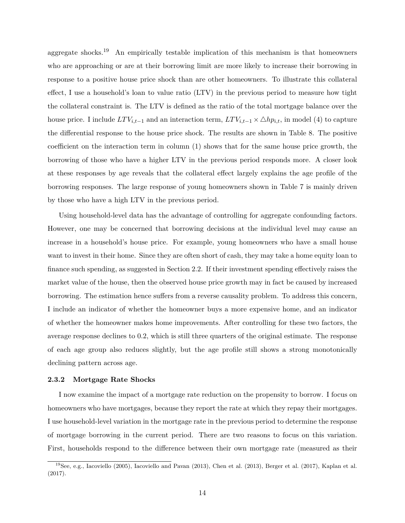aggregate shocks.<sup>19</sup> An empirically testable implication of this mechanism is that homeowners who are approaching or are at their borrowing limit are more likely to increase their borrowing in response to a positive house price shock than are other homeowners. To illustrate this collateral effect, I use a household's loan to value ratio (LTV) in the previous period to measure how tight the collateral constraint is. The LTV is defined as the ratio of the total mortgage balance over the house price. I include  $LTV_{i,t-1}$  and an interaction term,  $LTV_{i,t-1} \times \Delta hp_{i,t}$ , in model [\(4\)](#page-17-0) to capture the differential response to the house price shock. The results are shown in Table [8.](#page-50-0) The positive coefficient on the interaction term in column (1) shows that for the same house price growth, the borrowing of those who have a higher LTV in the previous period responds more. A closer look at these responses by age reveals that the collateral effect largely explains the age profile of the borrowing responses. The large response of young homeowners shown in Table [7](#page-49-1) is mainly driven by those who have a high LTV in the previous period.

Using household-level data has the advantage of controlling for aggregate confounding factors. However, one may be concerned that borrowing decisions at the individual level may cause an increase in a household's house price. For example, young homeowners who have a small house want to invest in their home. Since they are often short of cash, they may take a home equity loan to finance such spending, as suggested in Section [2.2.](#page-11-1) If their investment spending effectively raises the market value of the house, then the observed house price growth may in fact be caused by increased borrowing. The estimation hence suffers from a reverse causality problem. To address this concern, I include an indicator of whether the homeowner buys a more expensive home, and an indicator of whether the homeowner makes home improvements. After controlling for these two factors, the average response declines to 0.2, which is still three quarters of the original estimate. The response of each age group also reduces slightly, but the age profile still shows a strong monotonically declining pattern across age.

#### **2.3.2 Mortgage Rate Shocks**

I now examine the impact of a mortgage rate reduction on the propensity to borrow. I focus on homeowners who have mortgages, because they report the rate at which they repay their mortgages. I use household-level variation in the mortgage rate in the previous period to determine the response of mortgage borrowing in the current period. There are two reasons to focus on this variation. First, households respond to the difference between their own mortgage rate (measured as their

<sup>19</sup>See, e.g., [Iacoviello](#page-38-11) [\(2005\)](#page-38-11), [Iacoviello and Pavan](#page-38-12) [\(2013\)](#page-38-12), [Chen et al.](#page-37-9) [\(2013\)](#page-37-9), [Berger et al.](#page-37-2) [\(2017\)](#page-37-2), [Kaplan et al.](#page-38-13) [\(2017\)](#page-38-13).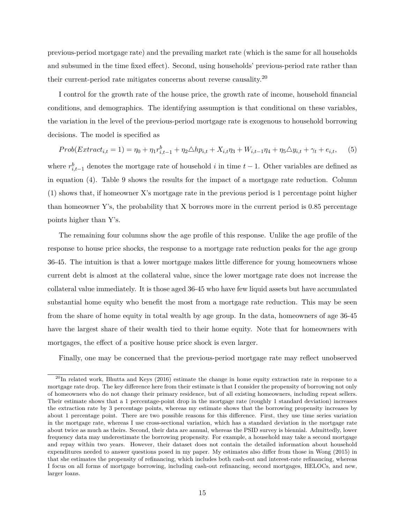previous-period mortgage rate) and the prevailing market rate (which is the same for all households and subsumed in the time fixed effect). Second, using households' previous-period rate rather than their current-period rate mitigates concerns about reverse causality.<sup>20</sup>

I control for the growth rate of the house price, the growth rate of income, household financial conditions, and demographics. The identifying assumption is that conditional on these variables, the variation in the level of the previous-period mortgage rate is exogenous to household borrowing decisions. The model is specified as

<span id="page-19-0"></span>
$$
Prob(Extract_{i,t}=1)=\eta_{0}+\eta_{1}r_{i,t-1}^{b}+\eta_{2}\triangle hp_{i,t}+X_{i,t}\eta_{3}+W_{i,t-1}\eta_{4}+\eta_{5}\triangle y_{i,t}+\gamma_{t}+e_{i,t},
$$
 (5)

where  $r_{i,t-1}^b$  denotes the mortgage rate of household *i* in time  $t-1$ . Other variables are defined as in equation [\(4\)](#page-17-0). Table [9](#page-50-1) shows the results for the impact of a mortgage rate reduction. Column (1) shows that, if homeowner X's mortgage rate in the previous period is 1 percentage point higher than homeowner Y's, the probability that  $X$  borrows more in the current period is 0.85 percentage points higher than Y's.

The remaining four columns show the age profile of this response. Unlike the age profile of the response to house price shocks, the response to a mortgage rate reduction peaks for the age group 36-45. The intuition is that a lower mortgage makes little difference for young homeowners whose current debt is almost at the collateral value, since the lower mortgage rate does not increase the collateral value immediately. It is those aged 36-45 who have few liquid assets but have accumulated substantial home equity who benefit the most from a mortgage rate reduction. This may be seen from the share of home equity in total wealth by age group. In the data, homeowners of age 36-45 have the largest share of their wealth tied to their home equity. Note that for homeowners with mortgages, the effect of a positive house price shock is even larger.

Finally, one may be concerned that the previous-period mortgage rate may reflect unobserved

<sup>&</sup>lt;sup>20</sup>In related work, [Bhutta and Keys](#page-37-0) [\(2016\)](#page-37-0) estimate the change in home equity extraction rate in response to a mortgage rate drop. The key difference here from their estimate is that I consider the propensity of borrowing not only of homeowners who do not change their primary residence, but of all existing homeowners, including repeat sellers. Their estimate shows that a 1 percentage-point drop in the mortgage rate (roughly 1 standard deviation) increases the extraction rate by 3 percentage points, whereas my estimate shows that the borrowing propensity increases by about 1 percentage point. There are two possible reasons for this difference. First, they use time series variation in the mortgage rate, whereas I use cross-sectional variation, which has a standard deviation in the mortgage rate about twice as much as theirs. Second, their data are annual, whereas the PSID survey is biennial. Admittedly, lower frequency data may underestimate the borrowing propensity. For example, a household may take a second mortgage and repay within two years. However, their dataset does not contain the detailed information about household expenditures needed to answer questions posed in my paper. My estimates also differ from those in [Wong](#page-39-2) [\(2015\)](#page-39-2) in that she estimates the propensity of refinancing, which includes both cash-out and interest-rate refinancing, whereas I focus on all forms of mortgage borrowing, including cash-out refinancing, second mortgages, HELOCs, and new, larger loans.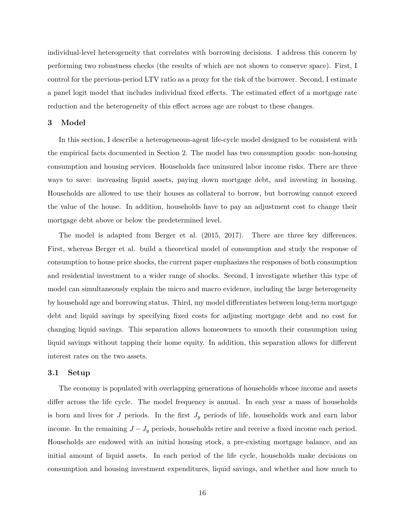individual-level heterogeneity that correlates with borrowing decisions. I address this concern by performing two robustness checks (the results of which are not shown to conserve space). First, I control for the previous-period LTV ratio as a proxy for the risk of the borrower. Second, I estimate a panel logit model that includes individual fixed effects. The estimated effect of a mortgage rate reduction and the heterogeneity of this effect across age are robust to these changes.

#### <span id="page-20-0"></span>**3 Model**

In this section, I describe a heterogeneous-agent life-cycle model designed to be consistent with the empirical facts documented in Section [2.](#page-8-0) The model has two consumption goods: non-housing consumption and housing services. Households face uninsured labor income risks. There are three ways to save: increasing liquid assets, paying down mortgage debt, and investing in housing. Households are allowed to use their houses as collateral to borrow, but borrowing cannot exceed the value of the house. In addition, households have to pay an adjustment cost to change their mortgage debt above or below the predetermined level.

The model is adapted from [Berger et al.](#page-37-1) [\(2015,](#page-37-1) [2017\)](#page-37-2). There are three key differences. First, whereas Berger et al. build a theoretical model of consumption and study the response of consumption to house price shocks, the current paper emphasizes the responses of both consumption and residential investment to a wider range of shocks. Second, I investigate whether this type of model can simultaneously explain the micro and macro evidence, including the large heterogeneity by household age and borrowing status. Third, my model differentiates between long-term mortgage debt and liquid savings by specifying fixed costs for adjusting mortgage debt and no cost for changing liquid savings. This separation allows homeowners to smooth their consumption using liquid savings without tapping their home equity. In addition, this separation allows for different interest rates on the two assets.

#### **3.1 Setup**

The economy is populated with overlapping generations of households whose income and assets differ across the life cycle. The model frequency is annual. In each year a mass of households is born and lives for *J* periods. In the first  $J_y$  periods of life, households work and earn labor income. In the remaining  $J - J_y$  periods, households retire and receive a fixed income each period. Households are endowed with an initial housing stock, a pre-existing mortgage balance, and an initial amount of liquid assets. In each period of the life cycle, households make decisions on consumption and housing investment expenditures, liquid savings, and whether and how much to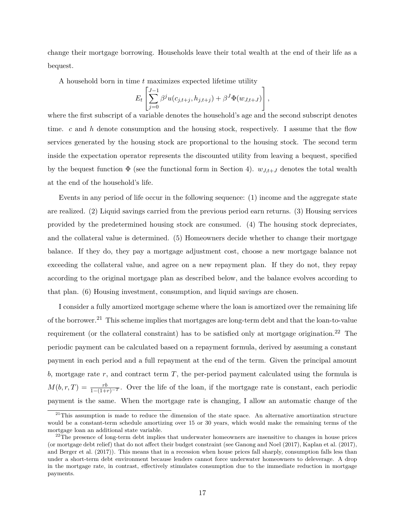change their mortgage borrowing. Households leave their total wealth at the end of their life as a bequest.

A household born in time *t* maximizes expected lifetime utility

$$
E_t \left[ \sum_{j=0}^{J-1} \beta^j u(c_{j,t+j}, h_{j,t+j}) + \beta^J \Phi(w_{J,t+J}) \right],
$$

where the first subscript of a variable denotes the household's age and the second subscript denotes time. *c* and *h* denote consumption and the housing stock, respectively. I assume that the flow services generated by the housing stock are proportional to the housing stock. The second term inside the expectation operator represents the discounted utility from leaving a bequest, specified by the bequest function  $\Phi$  (see the functional form in Section [4\)](#page-24-0).  $w_{J,t+J}$  denotes the total wealth at the end of the household's life.

Events in any period of life occur in the following sequence: (1) income and the aggregate state are realized. (2) Liquid savings carried from the previous period earn returns. (3) Housing services provided by the predetermined housing stock are consumed. (4) The housing stock depreciates, and the collateral value is determined. (5) Homeowners decide whether to change their mortgage balance. If they do, they pay a mortgage adjustment cost, choose a new mortgage balance not exceeding the collateral value, and agree on a new repayment plan. If they do not, they repay according to the original mortgage plan as described below, and the balance evolves according to that plan. (6) Housing investment, consumption, and liquid savings are chosen.

I consider a fully amortized mortgage scheme where the loan is amortized over the remaining life of the borrower.<sup>21</sup> This scheme implies that mortgages are long-term debt and that the loan-to-value requirement (or the collateral constraint) has to be satisfied only at mortgage origination.<sup>22</sup> The periodic payment can be calculated based on a repayment formula, derived by assuming a constant payment in each period and a full repayment at the end of the term. Given the principal amount *b*, mortgage rate *r*, and contract term *T*, the per-period payment calculated using the formula is  $M(b,r,T) = \frac{rb}{1-(1+r)^{-T}}$ . Over the life of the loan, if the mortgage rate is constant, each periodic payment is the same. When the mortgage rate is changing, I allow an automatic change of the

 $21$ This assumption is made to reduce the dimension of the state space. An alternative amortization structure would be a constant-term schedule amortizing over 15 or 30 years, which would make the remaining terms of the mortgage loan an additional state variable.

 $^{22}$ The presence of long-term debt implies that underwater homeowners are insensitive to changes in house prices (or mortgage debt relief) that do not affect their budget constraint (see [Ganong and Noel](#page-38-14) [\(2017\)](#page-38-14), [Kaplan et al.](#page-38-13) [\(2017\)](#page-38-13), and [Berger et al.](#page-37-2) [\(2017\)](#page-37-2)). This means that in a recession when house prices fall sharply, consumption falls less than under a short-term debt environment because lenders cannot force underwater homeowners to deleverage. A drop in the mortgage rate, in contrast, effectively stimulates consumption due to the immediate reduction in mortgage payments.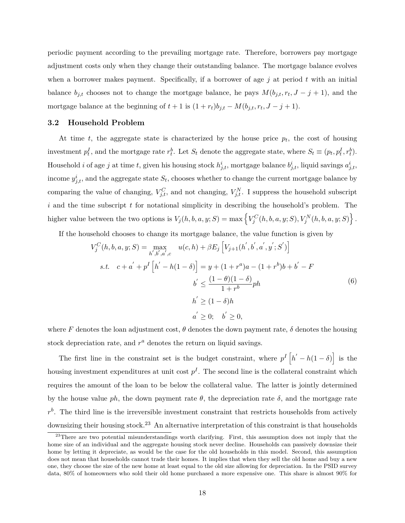periodic payment according to the prevailing mortgage rate. Therefore, borrowers pay mortgage adjustment costs only when they change their outstanding balance. The mortgage balance evolves when a borrower makes payment. Specifically, if a borrower of age *j* at period *t* with an initial balance  $b_{j,t}$  chooses not to change the mortgage balance, he pays  $M(b_{j,t}, r_t, J - j + 1)$ , and the mortgage balance at the beginning of  $t + 1$  is  $(1 + r_t)b_{j,t} - M(b_{j,t}, r_t, J - j + 1)$ .

#### **3.2 Household Problem**

At time  $t$ , the aggregate state is characterized by the house price  $p_t$ , the cost of housing investment  $p_t^I$ , and the mortgage rate  $r_t^b$ . Let  $S_t$  denote the aggregate state, where  $S_t \equiv (p_t, p_t^I, r_t^b)$ . Household *i* of age *j* at time *t*, given his housing stock  $h_{j,t}^i$ , mortgage balance  $b_{j,t}^i$ , liquid savings  $a_{j,t}^i$ , income  $y_{j,t}^i$ , and the aggregate state  $S_t$ , chooses whether to change the current mortgage balance by comparing the value of changing,  $V_{j,t}^C$ , and not changing,  $V_{j,t}^N$ . I suppress the household subscript *i* and the time subscript *t* for notational simplicity in describing the household's problem. The higher value between the two options is  $V_j(h, b, a, y; S) = \max \left\{ V_j^C(h, b, a, y; S), V_j^N(h, b, a, y; S) \right\}.$ 

If the household chooses to change its mortgage balance, the value function is given by

<span id="page-22-0"></span>
$$
V_j^C(h, b, a, y; S) = \max_{h', b', a', c} u(c, h) + \beta E_j \left[ V_{j+1}(h', b', a', y'; S') \right]
$$
  
s.t.  $c + a' + p^I \left[ h' - h(1 - \delta) \right] = y + (1 + r^a)a - (1 + r^b)b + b' - F$   
 $b' \le \frac{(1 - \theta)(1 - \delta)}{1 + r^b}ph$   
 $h' \ge (1 - \delta)h$   
 $a' \ge 0; b' \ge 0,$  (6)

where F denotes the loan adjustment cost,  $\theta$  denotes the down payment rate,  $\delta$  denotes the housing stock depreciation rate, and  $r^a$  denotes the return on liquid savings.

The first line in the constraint set is the budget constraint, where  $p^I\left[h'-h(1-\delta)\right]$  is the housing investment expenditures at unit cost  $p<sup>I</sup>$ . The second line is the collateral constraint which requires the amount of the loan to be below the collateral value. The latter is jointly determined by the house value *ph*, the down payment rate  $\theta$ , the depreciation rate  $\delta$ , and the mortgage rate  $r<sup>b</sup>$ . The third line is the irreversible investment constraint that restricts households from actively downsizing their housing stock.<sup>23</sup> An alternative interpretation of this constraint is that households

<sup>&</sup>lt;sup>23</sup>There are two potential misunderstandings worth clarifying. First, this assumption does not imply that the home size of an individual and the aggregate housing stock never decline. Households can passively downsize their home by letting it depreciate, as would be the case for the old households in this model. Second, this assumption does not mean that households cannot trade their homes. It implies that when they sell the old home and buy a new one, they choose the size of the new home at least equal to the old size allowing for depreciation. In the PSID survey data, 80% of homeowners who sold their old home purchased a more expensive one. This share is almost 90% for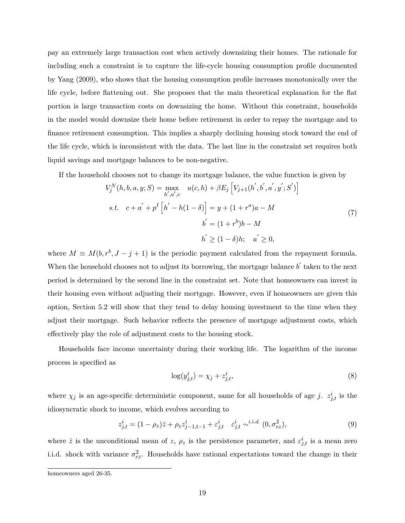pay an extremely large transaction cost when actively downsizing their homes. The rationale for including such a constraint is to capture the life-cycle housing consumption profile documented by [Yang](#page-39-3) [\(2009\)](#page-39-3), who shows that the housing consumption profile increases monotonically over the life cycle, before flattening out. She proposes that the main theoretical explanation for the flat portion is large transaction costs on downsizing the home. Without this constraint, households in the model would downsize their home before retirement in order to repay the mortgage and to finance retirement consumption. This implies a sharply declining housing stock toward the end of the life cycle, which is inconsistent with the data. The last line in the constraint set requires both liquid savings and mortgage balances to be non-negative.

If the household chooses not to change its mortgage balance, the value function is given by

$$
V_j^N(h, b, a, y; S) = \max_{h', a', c} u(c, h) + \beta E_j \left[ V_{j+1}(h', b', a', y'; S') \right]
$$
  
s.t.  $c + a' + p^I \left[ h' - h(1 - \delta) \right] = y + (1 + r^a)a - M$   
 $b' = (1 + r^b)b - M$   
 $h' \ge (1 - \delta)h; \quad a' \ge 0,$  (7)

where  $M \equiv M(b, r^b, J - j + 1)$  is the periodic payment calculated from the repayment formula. When the household chooses not to adjust its borrowing, the mortgage balance  $b'$  taken to the next period is determined by the second line in the constraint set. Note that homeowners can invest in their housing even without adjusting their mortgage. However, even if homeowners are given this option, Section [5.2](#page-27-0) will show that they tend to delay housing investment to the time when they adjust their mortgage. Such behavior reflects the presence of mortgage adjustment costs, which effectively play the role of adjustment costs to the housing stock.

Households face income uncertainty during their working life. The logarithm of the income process is specified as

<span id="page-23-1"></span><span id="page-23-0"></span>
$$
\log(y_{j,t}^i) = \chi_j + z_{j,t}^i,\tag{8}
$$

where  $\chi_j$  is an age-specific deterministic component, same for all households of age *j.*  $z_{j,t}^i$  is the idiosyncratic shock to income, which evolves according to

$$
z_{j,t}^i = (1 - \rho_z)\bar{z} + \rho_z z_{j-1,t-1}^i + \varepsilon_{j,t}^i \quad \varepsilon_{j,t}^i \sim^{i.i.d.} (0, \sigma_{ez}^2),
$$
 (9)

where  $\bar{z}$  is the unconditional mean of *z*,  $\rho_z$  is the persistence parameter, and  $\varepsilon_{j,t}^i$  is a mean zero i.i.d. shock with variance  $\sigma_{ez}^2$ . Households have rational expectations toward the change in their

homeowners aged 26-35.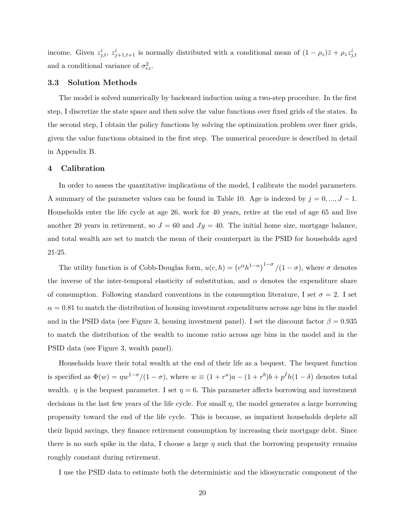income. Given  $z_{j,t}^i$ ,  $z_{j+1,t+1}^i$  is normally distributed with a conditional mean of  $(1 - \rho_z)\overline{z} + \rho_z z_{j,t}^i$ and a conditional variance of  $\sigma_{ez}^2$ .

#### **3.3 Solution Methods**

The model is solved numerically by backward induction using a two-step procedure. In the first step, I discretize the state space and then solve the value functions over fixed grids of the states. In the second step, I obtain the policy functions by solving the optimization problem over finer grids, given the value functions obtained in the first step. The numerical procedure is described in detail in Appendix [B.](#page-54-0)

#### <span id="page-24-0"></span>**4 Calibration**

In order to assess the quantitative implications of the model, I calibrate the model parameters. A summary of the parameter values can be found in Table [10.](#page-51-0) Age is indexed by  $j = 0, ..., J - 1$ . Households enter the life cycle at age 26, work for 40 years, retire at the end of age 65 and live another 20 years in retirement, so  $J = 60$  and  $Jy = 40$ . The initial home size, mortgage balance, and total wealth are set to match the mean of their counterpart in the PSID for households aged 21-25.

The utility function is of Cobb-Douglas form,  $u(c, h) = (c^{\alpha}h^{1-\alpha})^{1-\sigma}/(1-\sigma)$ , where  $\sigma$  denotes the inverse of the inter-temporal elasticity of substitution, and  $\alpha$  denotes the expenditure share of consumption. Following standard conventions in the consumption literature, I set  $\sigma = 2$ . I set  $\alpha = 0.81$  to match the distribution of housing investment expenditures across age bins in the model and in the PSID data (see Figure [3,](#page-41-0) housing investment panel). I set the discount factor  $\beta = 0.935$ to match the distribution of the wealth to income ratio across age bins in the model and in the PSID data (see Figure [3,](#page-41-0) wealth panel).

Households leave their total wealth at the end of their life as a bequest. The bequest function is specified as  $\Phi(w) = \eta w^{1-\sigma}/(1-\sigma)$ , where  $w \equiv (1+r^a)a - (1+r^b)b + p^Ih(1-\delta)$  denotes total wealth. *η* is the bequest parameter. I set  $\eta = 6$ . This parameter affects borrowing and investment decisions in the last few years of the life cycle. For small *η*, the model generates a large borrowing propensity toward the end of the life cycle. This is because, as impatient households deplete all their liquid savings, they finance retirement consumption by increasing their mortgage debt. Since there is no such spike in the data, I choose a large *η* such that the borrowing propensity remains roughly constant during retirement.

I use the PSID data to estimate both the deterministic and the idiosyncratic component of the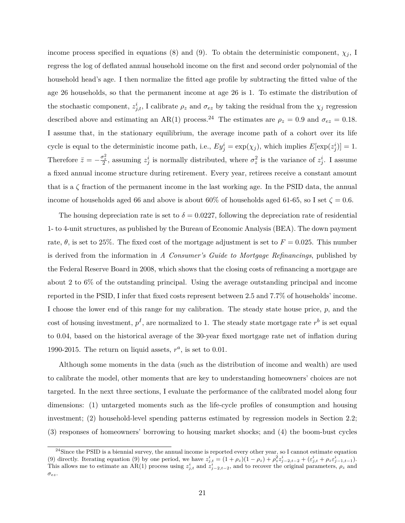income process specified in equations [\(8\)](#page-23-0) and [\(9\)](#page-23-1). To obtain the deterministic component,  $\chi_j$ , I regress the log of deflated annual household income on the first and second order polynomial of the household head's age. I then normalize the fitted age profile by subtracting the fitted value of the age 26 households, so that the permanent income at age 26 is 1. To estimate the distribution of the stochastic component,  $z_{j,t}^i$ , I calibrate  $\rho_z$  and  $\sigma_{ez}$  by taking the residual from the  $\chi_j$  regression described above and estimating an AR(1) process.<sup>24</sup> The estimates are  $\rho_z = 0.9$  and  $\sigma_{ez} = 0.18$ . I assume that, in the stationary equilibrium, the average income path of a cohort over its life cycle is equal to the deterministic income path, i.e.,  $Ey_j^i = \exp(\chi_j)$ , which implies  $E[\exp(z_j^i)] = 1$ . Therefore  $\bar{z} = -\frac{\sigma_z^2}{2}$ , assuming  $z_j^i$  is normally distributed, where  $\sigma_z^2$  is the variance of  $z_j^i$ . I assume a fixed annual income structure during retirement. Every year, retirees receive a constant amount that is a  $\zeta$  fraction of the permanent income in the last working age. In the PSID data, the annual income of households aged 66 and above is about 60% of households aged 61-65, so I set  $\zeta = 0.6$ .

The housing depreciation rate is set to  $\delta = 0.0227$ , following the depreciation rate of residential 1- to 4-unit structures, as published by the Bureau of Economic Analysis (BEA). The down payment rate,  $\theta$ , is set to 25%. The fixed cost of the mortgage adjustment is set to  $F = 0.025$ . This number is derived from the information in *A Consumer's Guide to Mortgage Refinancings*, published by the Federal Reserve Board in 2008, which shows that the closing costs of refinancing a mortgage are about 2 to 6% of the outstanding principal. Using the average outstanding principal and income reported in the PSID, I infer that fixed costs represent between 2.5 and 7.7% of households' income. I choose the lower end of this range for my calibration. The steady state house price, *p*, and the cost of housing investment,  $p<sup>I</sup>$ , are normalized to 1. The steady state mortgage rate  $r<sup>b</sup>$  is set equal to 0.04, based on the historical average of the 30-year fixed mortgage rate net of inflation during 1990-2015. The return on liquid assets,  $r^a$ , is set to 0.01.

Although some moments in the data (such as the distribution of income and wealth) are used to calibrate the model, other moments that are key to understanding homeowners' choices are not targeted. In the next three sections, I evaluate the performance of the calibrated model along four dimensions: (1) untargeted moments such as the life-cycle profiles of consumption and housing investment; (2) household-level spending patterns estimated by regression models in Section [2.2;](#page-11-1) (3) responses of homeowners' borrowing to housing market shocks; and (4) the boom-bust cycles

 $^{24}$ Since the PSID is a biennial survey, the annual income is reported every other year, so I cannot estimate equation [\(9\)](#page-23-1) directly. Iterating equation (9) by one period, we have  $z_{j,t}^i = (1+\rho_z)(1-\rho_z) + \rho_z^2 z_{j-2,t-2}^i + (\varepsilon_{j,t}^i + \rho_z \varepsilon_{j-1,t-1}^i)$ . This allows me to estimate an AR(1) process using  $z_{j,t}^i$  and  $z_{j-2,t-2}^i$ , and to recover the original parameters,  $\rho_z$  and *σez*.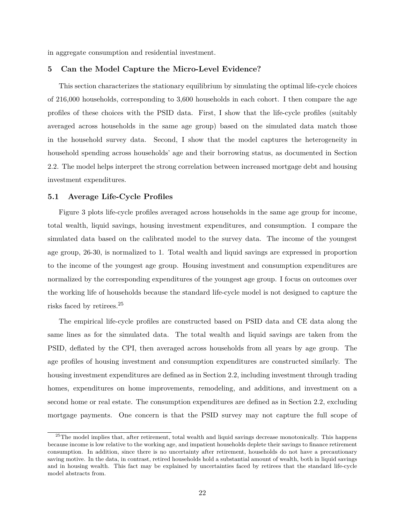<span id="page-26-0"></span>in aggregate consumption and residential investment.

#### **5 Can the Model Capture the Micro-Level Evidence?**

This section characterizes the stationary equilibrium by simulating the optimal life-cycle choices of 216,000 households, corresponding to 3,600 households in each cohort. I then compare the age profiles of these choices with the PSID data. First, I show that the life-cycle profiles (suitably averaged across households in the same age group) based on the simulated data match those in the household survey data. Second, I show that the model captures the heterogeneity in household spending across households' age and their borrowing status, as documented in Section [2.2.](#page-11-1) The model helps interpret the strong correlation between increased mortgage debt and housing investment expenditures.

#### <span id="page-26-1"></span>**5.1 Average Life-Cycle Profiles**

Figure [3](#page-41-0) plots life-cycle profiles averaged across households in the same age group for income, total wealth, liquid savings, housing investment expenditures, and consumption. I compare the simulated data based on the calibrated model to the survey data. The income of the youngest age group, 26-30, is normalized to 1. Total wealth and liquid savings are expressed in proportion to the income of the youngest age group. Housing investment and consumption expenditures are normalized by the corresponding expenditures of the youngest age group. I focus on outcomes over the working life of households because the standard life-cycle model is not designed to capture the risks faced by retirees.<sup>25</sup>

The empirical life-cycle profiles are constructed based on PSID data and CE data along the same lines as for the simulated data. The total wealth and liquid savings are taken from the PSID, deflated by the CPI, then averaged across households from all years by age group. The age profiles of housing investment and consumption expenditures are constructed similarly. The housing investment expenditures are defined as in Section [2.2,](#page-11-1) including investment through trading homes, expenditures on home improvements, remodeling, and additions, and investment on a second home or real estate. The consumption expenditures are defined as in Section [2.2,](#page-11-1) excluding mortgage payments. One concern is that the PSID survey may not capture the full scope of

 $25$ The model implies that, after retirement, total wealth and liquid savings decrease monotonically. This happens because income is low relative to the working age, and impatient households deplete their savings to finance retirement consumption. In addition, since there is no uncertainty after retirement, households do not have a precautionary saving motive. In the data, in contrast, retired households hold a substantial amount of wealth, both in liquid savings and in housing wealth. This fact may be explained by uncertainties faced by retirees that the standard life-cycle model abstracts from.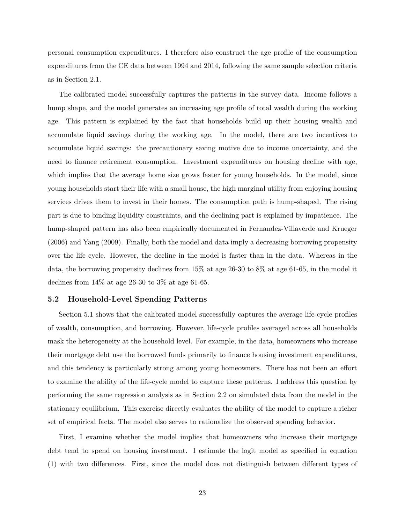personal consumption expenditures. I therefore also construct the age profile of the consumption expenditures from the CE data between 1994 and 2014, following the same sample selection criteria as in Section [2.1.](#page-9-0)

The calibrated model successfully captures the patterns in the survey data. Income follows a hump shape, and the model generates an increasing age profile of total wealth during the working age. This pattern is explained by the fact that households build up their housing wealth and accumulate liquid savings during the working age. In the model, there are two incentives to accumulate liquid savings: the precautionary saving motive due to income uncertainty, and the need to finance retirement consumption. Investment expenditures on housing decline with age, which implies that the average home size grows faster for young households. In the model, since young households start their life with a small house, the high marginal utility from enjoying housing services drives them to invest in their homes. The consumption path is hump-shaped. The rising part is due to binding liquidity constraints, and the declining part is explained by impatience. The hump-shaped pattern has also been empirically documented in [Fernandez-Villaverde and Krueger](#page-38-15) [\(2006\)](#page-38-15) and [Yang](#page-39-3) [\(2009\)](#page-39-3). Finally, both the model and data imply a decreasing borrowing propensity over the life cycle. However, the decline in the model is faster than in the data. Whereas in the data, the borrowing propensity declines from 15% at age 26-30 to 8% at age 61-65, in the model it declines from  $14\%$  at age 26-30 to 3% at age 61-65.

#### <span id="page-27-0"></span>**5.2 Household-Level Spending Patterns**

Section [5.1](#page-26-1) shows that the calibrated model successfully captures the average life-cycle profiles of wealth, consumption, and borrowing. However, life-cycle profiles averaged across all households mask the heterogeneity at the household level. For example, in the data, homeowners who increase their mortgage debt use the borrowed funds primarily to finance housing investment expenditures, and this tendency is particularly strong among young homeowners. There has not been an effort to examine the ability of the life-cycle model to capture these patterns. I address this question by performing the same regression analysis as in Section [2.2](#page-11-1) on simulated data from the model in the stationary equilibrium. This exercise directly evaluates the ability of the model to capture a richer set of empirical facts. The model also serves to rationalize the observed spending behavior.

First, I examine whether the model implies that homeowners who increase their mortgage debt tend to spend on housing investment. I estimate the logit model as specified in equation [\(1\)](#page-11-0) with two differences. First, since the model does not distinguish between different types of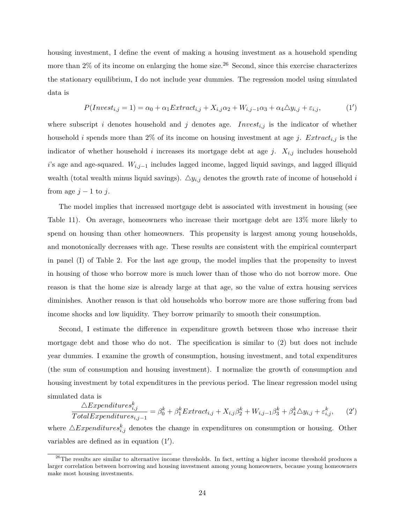housing investment, I define the event of making a housing investment as a household spending more than  $2\%$  of its income on enlarging the home size.<sup>26</sup> Second, since this exercise characterizes the stationary equilibrium, I do not include year dummies. The regression model using simulated data is

<span id="page-28-0"></span>
$$
P(Invest_{i,j}=1)=\alpha_0+\alpha_1 Extract_{i,j}+X_{i,j}\alpha_2+W_{i,j-1}\alpha_3+\alpha_4\Delta y_{i,j}+\varepsilon_{i,j},\tag{1'}
$$

where subscript *i* denotes household and *j* denotes age. *Invest<sub>i,j</sub>* is the indicator of whether household *i* spends more than 2% of its income on housing investment at age *j*. *Extract<sub>i,j</sub>* is the indicator of whether household *i* increases its mortgage debt at age *j*.  $X_{i,j}$  includes household *i*'s age and age-squared. *Wi,j*−<sup>1</sup> includes lagged income, lagged liquid savings, and lagged illiquid wealth (total wealth minus liquid savings).  $\Delta y_{i,j}$  denotes the growth rate of income of household *i* from age  $j - 1$  to  $j$ .

The model implies that increased mortgage debt is associated with investment in housing (see Table [11\)](#page-52-0). On average, homeowners who increase their mortgage debt are 13% more likely to spend on housing than other homeowners. This propensity is largest among young households, and monotonically decreases with age. These results are consistent with the empirical counterpart in panel (I) of Table [2.](#page-45-0) For the last age group, the model implies that the propensity to invest in housing of those who borrow more is much lower than of those who do not borrow more. One reason is that the home size is already large at that age, so the value of extra housing services diminishes. Another reason is that old households who borrow more are those suffering from bad income shocks and low liquidity. They borrow primarily to smooth their consumption.

Second, I estimate the difference in expenditure growth between those who increase their mortgage debt and those who do not. The specification is similar to [\(2\)](#page-13-0) but does not include year dummies. I examine the growth of consumption, housing investment, and total expenditures (the sum of consumption and housing investment). I normalize the growth of consumption and housing investment by total expenditures in the previous period. The linear regression model using simulated data is

$$
\frac{\triangle Expenditures_{i,j}^k}{Total Expenditures_{i,j-1}} = \beta_0^k + \beta_1^k Extract_{i,j} + X_{i,j}\beta_2^k + W_{i,j-1}\beta_3^k + \beta_4^k \triangle y_{i,j} + \varepsilon_{i,j}^k,\tag{2'}
$$

where  $\triangle Expenditures<sup>k</sup><sub>i,j</sub>$  denotes the change in expenditures on consumption or housing. Other variables are defined as in equation  $(1')$  $(1')$ .

 $^{26}$ The results are similar to alternative income thresholds. In fact, setting a higher income threshold produces a larger correlation between borrowing and housing investment among young homeowners, because young homeowners make most housing investments.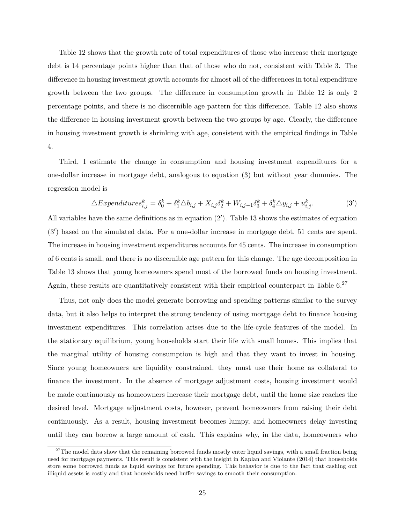Table [12](#page-52-1) shows that the growth rate of total expenditures of those who increase their mortgage debt is 14 percentage points higher than that of those who do not, consistent with Table [3.](#page-46-0) The difference in housing investment growth accounts for almost all of the differences in total expenditure growth between the two groups. The difference in consumption growth in Table [12](#page-52-1) is only 2 percentage points, and there is no discernible age pattern for this difference. Table [12](#page-52-1) also shows the difference in housing investment growth between the two groups by age. Clearly, the difference in housing investment growth is shrinking with age, consistent with the empirical findings in Table [4.](#page-47-0)

Third, I estimate the change in consumption and housing investment expenditures for a one-dollar increase in mortgage debt, analogous to equation [\(3\)](#page-15-0) but without year dummies. The regression model is

$$
\triangle Expenditures_{i,j}^k = \delta_0^k + \delta_1^k \triangle b_{i,j} + X_{i,j}\delta_2^k + W_{i,j-1}\delta_3^k + \delta_4^k \triangle y_{i,j} + u_{i,j}^k. \tag{3'}
$$

All variables have the same definitions as in equation  $(2')$  $(2')$ . Table [13](#page-52-2) shows the estimates of equation  $(3')$  $(3')$  based on the simulated data. For a one-dollar increase in mortgage debt, 51 cents are spent. The increase in housing investment expenditures accounts for 45 cents. The increase in consumption of 6 cents is small, and there is no discernible age pattern for this change. The age decomposition in Table [13](#page-52-2) shows that young homeowners spend most of the borrowed funds on housing investment. Again, these results are quantitatively consistent with their empirical counterpart in Table  $6.^{27}$ 

Thus, not only does the model generate borrowing and spending patterns similar to the survey data, but it also helps to interpret the strong tendency of using mortgage debt to finance housing investment expenditures. This correlation arises due to the life-cycle features of the model. In the stationary equilibrium, young households start their life with small homes. This implies that the marginal utility of housing consumption is high and that they want to invest in housing. Since young homeowners are liquidity constrained, they must use their home as collateral to finance the investment. In the absence of mortgage adjustment costs, housing investment would be made continuously as homeowners increase their mortgage debt, until the home size reaches the desired level. Mortgage adjustment costs, however, prevent homeowners from raising their debt continuously. As a result, housing investment becomes lumpy, and homeowners delay investing until they can borrow a large amount of cash. This explains why, in the data, homeowners who

 $27$ The model data show that the remaining borrowed funds mostly enter liquid savings, with a small fraction being used for mortgage payments. This result is consistent with the insight in [Kaplan and Violante](#page-38-16) [\(2014\)](#page-38-16) that households store some borrowed funds as liquid savings for future spending. This behavior is due to the fact that cashing out illiquid assets is costly and that households need buffer savings to smooth their consumption.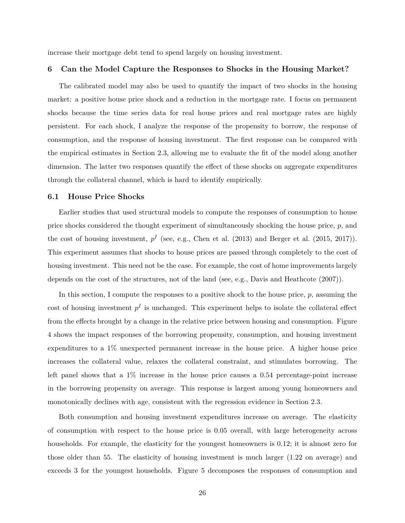<span id="page-30-0"></span>increase their mortgage debt tend to spend largely on housing investment.

#### **6 Can the Model Capture the Responses to Shocks in the Housing Market?**

The calibrated model may also be used to quantify the impact of two shocks in the housing market: a positive house price shock and a reduction in the mortgage rate. I focus on permanent shocks because the time series data for real house prices and real mortgage rates are highly persistent. For each shock, I analyze the response of the propensity to borrow, the response of consumption, and the response of housing investment. The first response can be compared with the empirical estimates in Section [2.3,](#page-16-0) allowing me to evaluate the fit of the model along another dimension. The latter two responses quantify the effect of these shocks on aggregate expenditures through the collateral channel, which is hard to identify empirically.

#### <span id="page-30-1"></span>**6.1 House Price Shocks**

Earlier studies that used structural models to compute the responses of consumption to house price shocks considered the thought experiment of simultaneously shocking the house price, *p*, and the cost of housing investment,  $p<sup>I</sup>$  (see, e.g., [Chen et al.](#page-37-9) [\(2013\)](#page-37-9) and [Berger et al.](#page-37-1) [\(2015,](#page-37-1) [2017\)](#page-37-2)). This experiment assumes that shocks to house prices are passed through completely to the cost of housing investment. This need not be the case. For example, the cost of home improvements largely depends on the cost of the structures, not of the land (see, e.g., [Davis and Heathcote](#page-38-17) [\(2007\)](#page-38-17)).

In this section, I compute the responses to a positive shock to the house price, *p*, assuming the cost of housing investment  $p<sup>I</sup>$  is unchanged. This experiment helps to isolate the collateral effect from the effects brought by a change in the relative price between housing and consumption. Figure [4](#page-41-1) shows the impact responses of the borrowing propensity, consumption, and housing investment expenditures to a 1% unexpected permanent increase in the house price. A higher house price increases the collateral value, relaxes the collateral constraint, and stimulates borrowing. The left panel shows that a 1% increase in the house price causes a 0.54 percentage-point increase in the borrowing propensity on average. This response is largest among young homeowners and monotonically declines with age, consistent with the regression evidence in Section [2.3.](#page-16-0)

Both consumption and housing investment expenditures increase on average. The elasticity of consumption with respect to the house price is 0.05 overall, with large heterogeneity across households. For example, the elasticity for the youngest homeowners is 0.12; it is almost zero for those older than 55. The elasticity of housing investment is much larger (1.22 on average) and exceeds 3 for the youngest households. Figure [5](#page-41-2) decomposes the responses of consumption and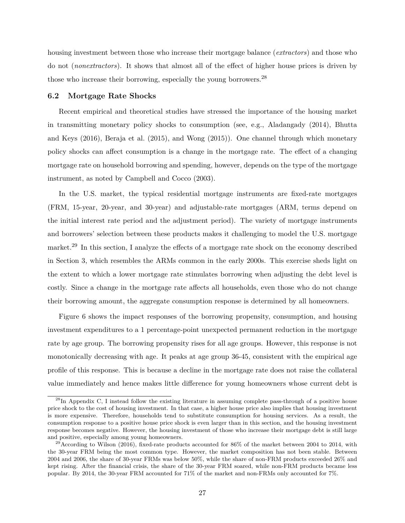housing investment between those who increase their mortgage balance (*extractors*) and those who do not (*nonextractors*). It shows that almost all of the effect of higher house prices is driven by those who increase their borrowing, especially the young borrowers.<sup>28</sup>

#### **6.2 Mortgage Rate Shocks**

Recent empirical and theoretical studies have stressed the importance of the housing market in transmitting monetary policy shocks to consumption (see, e.g., [Aladangady](#page-37-10) [\(2014\)](#page-37-10), [Bhutta](#page-37-0) [and Keys](#page-37-0) [\(2016\)](#page-37-0), [Beraja et al.](#page-37-7) [\(2015\)](#page-37-7), and [Wong](#page-39-2) [\(2015\)](#page-39-2)). One channel through which monetary policy shocks can affect consumption is a change in the mortgage rate. The effect of a changing mortgage rate on household borrowing and spending, however, depends on the type of the mortgage instrument, as noted by [Campbell and Cocco](#page-37-11) [\(2003\)](#page-37-11).

In the U.S. market, the typical residential mortgage instruments are fixed-rate mortgages (FRM, 15-year, 20-year, and 30-year) and adjustable-rate mortgages (ARM, terms depend on the initial interest rate period and the adjustment period). The variety of mortgage instruments and borrowers' selection between these products makes it challenging to model the U.S. mortgage market.<sup>29</sup> In this section, I analyze the effects of a mortgage rate shock on the economy described in Section [3,](#page-20-0) which resembles the ARMs common in the early 2000s. This exercise sheds light on the extent to which a lower mortgage rate stimulates borrowing when adjusting the debt level is costly. Since a change in the mortgage rate affects all households, even those who do not change their borrowing amount, the aggregate consumption response is determined by all homeowners.

Figure [6](#page-42-0) shows the impact responses of the borrowing propensity, consumption, and housing investment expenditures to a 1 percentage-point unexpected permanent reduction in the mortgage rate by age group. The borrowing propensity rises for all age groups. However, this response is not monotonically decreasing with age. It peaks at age group 36-45, consistent with the empirical age profile of this response. This is because a decline in the mortgage rate does not raise the collateral value immediately and hence makes little difference for young homeowners whose current debt is

 $^{28}$ In Appendix [C,](#page-56-0) I instead follow the existing literature in assuming complete pass-through of a positive house price shock to the cost of housing investment. In that case, a higher house price also implies that housing investment is more expensive. Therefore, households tend to substitute consumption for housing services. As a result, the consumption response to a positive house price shock is even larger than in this section, and the housing investment response becomes negative. However, the housing investment of those who increase their mortgage debt is still large and positive, especially among young homeowners.

 $^{29}$ According to [Wilson](#page-39-4) [\(2016\)](#page-39-4), fixed-rate products accounted for 86% of the market between 2004 to 2014, with the 30-year FRM being the most common type. However, the market composition has not been stable. Between 2004 and 2006, the share of 30-year FRMs was below 50%, while the share of non-FRM products exceeded 26% and kept rising. After the financial crisis, the share of the 30-year FRM soared, while non-FRM products became less popular. By 2014, the 30-year FRM accounted for 71% of the market and non-FRMs only accounted for 7%.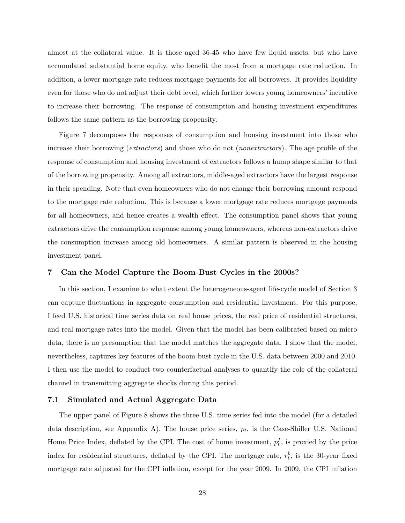almost at the collateral value. It is those aged 36-45 who have few liquid assets, but who have accumulated substantial home equity, who benefit the most from a mortgage rate reduction. In addition, a lower mortgage rate reduces mortgage payments for all borrowers. It provides liquidity even for those who do not adjust their debt level, which further lowers young homeowners' incentive to increase their borrowing. The response of consumption and housing investment expenditures follows the same pattern as the borrowing propensity.

Figure [7](#page-42-1) decomposes the responses of consumption and housing investment into those who increase their borrowing (*extractors*) and those who do not (*nonextractors*). The age profile of the response of consumption and housing investment of extractors follows a hump shape similar to that of the borrowing propensity. Among all extractors, middle-aged extractors have the largest response in their spending. Note that even homeowners who do not change their borrowing amount respond to the mortgage rate reduction. This is because a lower mortgage rate reduces mortgage payments for all homeowners, and hence creates a wealth effect. The consumption panel shows that young extractors drive the consumption response among young homeowners, whereas non-extractors drive the consumption increase among old homeowners. A similar pattern is observed in the housing investment panel.

#### <span id="page-32-0"></span>**7 Can the Model Capture the Boom-Bust Cycles in the 2000s?**

In this section, I examine to what extent the heterogeneous-agent life-cycle model of Section [3](#page-20-0) can capture fluctuations in aggregate consumption and residential investment. For this purpose, I feed U.S. historical time series data on real house prices, the real price of residential structures, and real mortgage rates into the model. Given that the model has been calibrated based on micro data, there is no presumption that the model matches the aggregate data. I show that the model, nevertheless, captures key features of the boom-bust cycle in the U.S. data between 2000 and 2010. I then use the model to conduct two counterfactual analyses to quantify the role of the collateral channel in transmitting aggregate shocks during this period.

#### **7.1 Simulated and Actual Aggregate Data**

The upper panel of Figure [8](#page-42-2) shows the three U.S. time series fed into the model (for a detailed data description, see Appendix [A\)](#page-53-0). The house price series, *p<sup>t</sup>* , is the Case-Shiller U.S. National Home Price Index, deflated by the CPI. The cost of home investment,  $p_t^I$ , is proxied by the price index for residential structures, deflated by the CPI. The mortgage rate,  $r_t^b$ , is the 30-year fixed mortgage rate adjusted for the CPI inflation, except for the year 2009. In 2009, the CPI inflation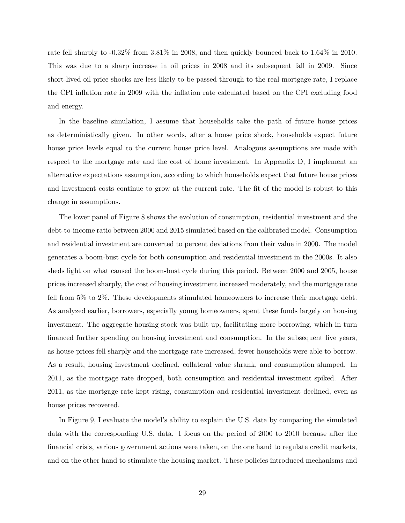rate fell sharply to -0.32% from 3.81% in 2008, and then quickly bounced back to 1.64% in 2010. This was due to a sharp increase in oil prices in 2008 and its subsequent fall in 2009. Since short-lived oil price shocks are less likely to be passed through to the real mortgage rate, I replace the CPI inflation rate in 2009 with the inflation rate calculated based on the CPI excluding food and energy.

In the baseline simulation, I assume that households take the path of future house prices as deterministically given. In other words, after a house price shock, households expect future house price levels equal to the current house price level. Analogous assumptions are made with respect to the mortgage rate and the cost of home investment. In Appendix [D,](#page-57-0) I implement an alternative expectations assumption, according to which households expect that future house prices and investment costs continue to grow at the current rate. The fit of the model is robust to this change in assumptions.

The lower panel of Figure [8](#page-42-2) shows the evolution of consumption, residential investment and the debt-to-income ratio between 2000 and 2015 simulated based on the calibrated model. Consumption and residential investment are converted to percent deviations from their value in 2000. The model generates a boom-bust cycle for both consumption and residential investment in the 2000s. It also sheds light on what caused the boom-bust cycle during this period. Between 2000 and 2005, house prices increased sharply, the cost of housing investment increased moderately, and the mortgage rate fell from 5% to 2%. These developments stimulated homeowners to increase their mortgage debt. As analyzed earlier, borrowers, especially young homeowners, spent these funds largely on housing investment. The aggregate housing stock was built up, facilitating more borrowing, which in turn financed further spending on housing investment and consumption. In the subsequent five years, as house prices fell sharply and the mortgage rate increased, fewer households were able to borrow. As a result, housing investment declined, collateral value shrank, and consumption slumped. In 2011, as the mortgage rate dropped, both consumption and residential investment spiked. After 2011, as the mortgage rate kept rising, consumption and residential investment declined, even as house prices recovered.

In Figure [9,](#page-43-0) I evaluate the model's ability to explain the U.S. data by comparing the simulated data with the corresponding U.S. data. I focus on the period of 2000 to 2010 because after the financial crisis, various government actions were taken, on the one hand to regulate credit markets, and on the other hand to stimulate the housing market. These policies introduced mechanisms and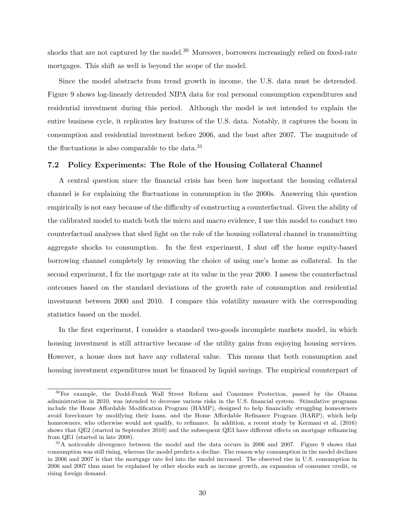shocks that are not captured by the model.<sup>30</sup> Moreover, borrowers increasingly relied on fixed-rate mortgages. This shift as well is beyond the scope of the model.

Since the model abstracts from trend growth in income, the U.S. data must be detrended. Figure [9](#page-43-0) shows log-linearly detrended NIPA data for real personal consumption expenditures and residential investment during this period. Although the model is not intended to explain the entire business cycle, it replicates key features of the U.S. data. Notably, it captures the boom in consumption and residential investment before 2006, and the bust after 2007. The magnitude of the fluctuations is also comparable to the data.<sup>31</sup>

#### **7.2 Policy Experiments: The Role of the Housing Collateral Channel**

A central question since the financial crisis has been how important the housing collateral channel is for explaining the fluctuations in consumption in the 2000s. Answering this question empirically is not easy because of the difficulty of constructing a counterfactual. Given the ability of the calibrated model to match both the micro and macro evidence, I use this model to conduct two counterfactual analyses that shed light on the role of the housing collateral channel in transmitting aggregate shocks to consumption. In the first experiment, I shut off the home equity-based borrowing channel completely by removing the choice of using one's home as collateral. In the second experiment, I fix the mortgage rate at its value in the year 2000. I assess the counterfactual outcomes based on the standard deviations of the growth rate of consumption and residential investment between 2000 and 2010. I compare this volatility measure with the corresponding statistics based on the model.

In the first experiment, I consider a standard two-goods incomplete markets model, in which housing investment is still attractive because of the utility gains from enjoying housing services. However, a house does not have any collateral value. This means that both consumption and housing investment expenditures must be financed by liquid savings. The empirical counterpart of

<sup>&</sup>lt;sup>30</sup>For example, the Dodd-Frank Wall Street Reform and Consumer Protection, passed by the Obama administration in 2010, was intended to decrease various risks in the U.S. financial system. Stimulative programs include the Home Affordable Modification Program (HAMP), designed to help financially struggling homeowners avoid foreclosure by modifying their loans, and the Home Affordable Refinance Program (HARP), which help homeowners, who otherwise would not qualify, to refinance. In addition, a recent study by [Kermani et al.](#page-38-18) [\(2016\)](#page-38-18) shows that QE2 (started in September 2010) and the subsequent QE3 have different effects on mortgage refinancing from QE1 (started in late 2008).

<sup>&</sup>lt;sup>31</sup>A noticeable divergence between the model and the data occurs in 2006 and 2007. Figure [9](#page-43-0) shows that consumption was still rising, whereas the model predicts a decline. The reason why consumption in the model declines in 2006 and 2007 is that the mortgage rate fed into the model increased. The observed rise in U.S. consumption in 2006 and 2007 thus must be explained by other shocks such as income growth, an expansion of consumer credit, or rising foreign demand.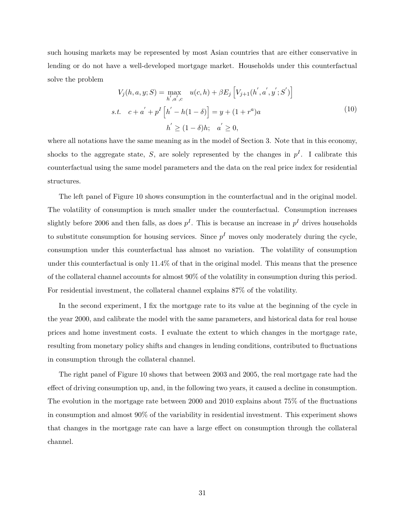such housing markets may be represented by most Asian countries that are either conservative in lending or do not have a well-developed mortgage market. Households under this counterfactual solve the problem

$$
V_j(h, a, y; S) = \max_{h', a', c} u(c, h) + \beta E_j \left[ V_{j+1}(h', a', y'; S') \right]
$$
  
s.t.  $c + a' + p^I \left[ h' - h(1 - \delta) \right] = y + (1 + r^a)a$   
 $h' \ge (1 - \delta)h; \quad a' \ge 0,$  (10)

where all notations have the same meaning as in the model of Section [3.](#page-20-0) Note that in this economy, shocks to the aggregate state, *S*, are solely represented by the changes in  $p<sup>I</sup>$ . I calibrate this counterfactual using the same model parameters and the data on the real price index for residential structures.

The left panel of Figure [10](#page-43-1) shows consumption in the counterfactual and in the original model. The volatility of consumption is much smaller under the counterfactual. Consumption increases slightly before 2006 and then falls, as does  $p<sup>I</sup>$ . This is because an increase in  $p<sup>I</sup>$  drives households to substitute consumption for housing services. Since  $p<sup>I</sup>$  moves only moderately during the cycle, consumption under this counterfactual has almost no variation. The volatility of consumption under this counterfactual is only 11.4% of that in the original model. This means that the presence of the collateral channel accounts for almost 90% of the volatility in consumption during this period. For residential investment, the collateral channel explains 87% of the volatility.

In the second experiment, I fix the mortgage rate to its value at the beginning of the cycle in the year 2000, and calibrate the model with the same parameters, and historical data for real house prices and home investment costs. I evaluate the extent to which changes in the mortgage rate, resulting from monetary policy shifts and changes in lending conditions, contributed to fluctuations in consumption through the collateral channel.

<span id="page-35-0"></span>The right panel of Figure [10](#page-43-1) shows that between 2003 and 2005, the real mortgage rate had the effect of driving consumption up, and, in the following two years, it caused a decline in consumption. The evolution in the mortgage rate between 2000 and 2010 explains about 75% of the fluctuations in consumption and almost 90% of the variability in residential investment. This experiment shows that changes in the mortgage rate can have a large effect on consumption through the collateral channel.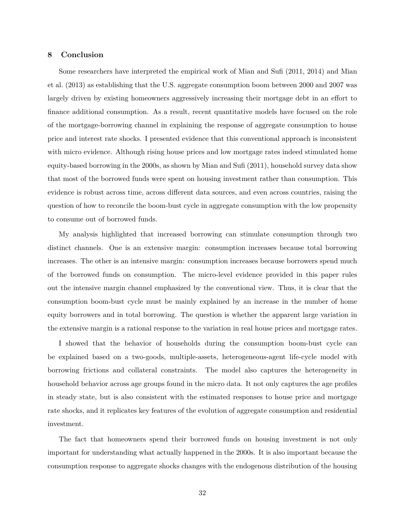#### **8 Conclusion**

Some researchers have interpreted the empirical work of [Mian and Sufi](#page-38-0) [\(2011,](#page-38-0) [2014\)](#page-38-1) and [Mian](#page-38-2) [et al.](#page-38-2) [\(2013\)](#page-38-2) as establishing that the U.S. aggregate consumption boom between 2000 and 2007 was largely driven by existing homeowners aggressively increasing their mortgage debt in an effort to finance additional consumption. As a result, recent quantitative models have focused on the role of the mortgage-borrowing channel in explaining the response of aggregate consumption to house price and interest rate shocks. I presented evidence that this conventional approach is inconsistent with micro evidence. Although rising house prices and low mortgage rates indeed stimulated home equity-based borrowing in the 2000s, as shown by [Mian and Sufi](#page-38-0) [\(2011\)](#page-38-0), household survey data show that most of the borrowed funds were spent on housing investment rather than consumption. This evidence is robust across time, across different data sources, and even across countries, raising the question of how to reconcile the boom-bust cycle in aggregate consumption with the low propensity to consume out of borrowed funds.

My analysis highlighted that increased borrowing can stimulate consumption through two distinct channels. One is an extensive margin: consumption increases because total borrowing increases. The other is an intensive margin: consumption increases because borrowers spend much of the borrowed funds on consumption. The micro-level evidence provided in this paper rules out the intensive margin channel emphasized by the conventional view. Thus, it is clear that the consumption boom-bust cycle must be mainly explained by an increase in the number of home equity borrowers and in total borrowing. The question is whether the apparent large variation in the extensive margin is a rational response to the variation in real house prices and mortgage rates.

I showed that the behavior of households during the consumption boom-bust cycle can be explained based on a two-goods, multiple-assets, heterogeneous-agent life-cycle model with borrowing frictions and collateral constraints. The model also captures the heterogeneity in household behavior across age groups found in the micro data. It not only captures the age profiles in steady state, but is also consistent with the estimated responses to house price and mortgage rate shocks, and it replicates key features of the evolution of aggregate consumption and residential investment.

The fact that homeowners spend their borrowed funds on housing investment is not only important for understanding what actually happened in the 2000s. It is also important because the consumption response to aggregate shocks changes with the endogenous distribution of the housing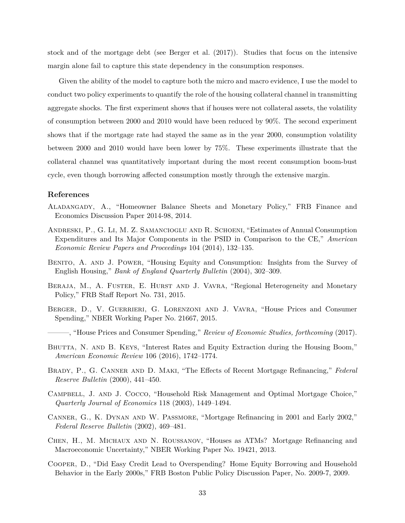stock and of the mortgage debt (see [Berger et al.](#page-37-2) [\(2017\)](#page-37-2)). Studies that focus on the intensive margin alone fail to capture this state dependency in the consumption responses.

Given the ability of the model to capture both the micro and macro evidence, I use the model to conduct two policy experiments to quantify the role of the housing collateral channel in transmitting aggregate shocks. The first experiment shows that if houses were not collateral assets, the volatility of consumption between 2000 and 2010 would have been reduced by 90%. The second experiment shows that if the mortgage rate had stayed the same as in the year 2000, consumption volatility between 2000 and 2010 would have been lower by 75%. These experiments illustrate that the collateral channel was quantitatively important during the most recent consumption boom-bust cycle, even though borrowing affected consumption mostly through the extensive margin.

#### **References**

- <span id="page-37-10"></span>Aladangady, A., "Homeowner Balance Sheets and Monetary Policy," FRB Finance and Economics Discussion Paper 2014-98, 2014.
- <span id="page-37-8"></span>Andreski, P., G. Li, M. Z. Samancioglu and R. Schoeni, "Estimates of Annual Consumption Expenditures and Its Major Components in the PSID in Comparison to the CE," *American Economic Review Papers and Proceedings* 104 (2014), 132–135.
- <span id="page-37-6"></span>Benito, A. and J. Power, "Housing Equity and Consumption: Insights from the Survey of English Housing," *Bank of England Quarterly Bulletin* (2004), 302–309.
- <span id="page-37-7"></span>BERAJA, M., A. FUSTER, E. HURST AND J. VAVRA, "Regional Heterogeneity and Monetary Policy," FRB Staff Report No. 731, 2015.
- <span id="page-37-1"></span>Berger, D., V. Guerrieri, G. Lorenzoni and J. Vavra, "House Prices and Consumer Spending," NBER Working Paper No. 21667, 2015.
- <span id="page-37-2"></span>———, "House Prices and Consumer Spending," *Review of Economic Studies, forthcoming* (2017).
- <span id="page-37-0"></span>BHUTTA, N. AND B. KEYS, "Interest Rates and Equity Extraction during the Housing Boom," *American Economic Review* 106 (2016), 1742–1774.
- <span id="page-37-4"></span>Brady, P., G. Canner and D. Maki, "The Effects of Recent Mortgage Refinancing," *Federal Reserve Bulletin* (2000), 441–450.
- <span id="page-37-11"></span>Campbell, J. and J. Cocco, "Household Risk Management and Optimal Mortgage Choice," *Quarterly Journal of Economics* 118 (2003), 1449–1494.
- <span id="page-37-3"></span>Canner, G., K. Dynan and W. Passmore, "Mortgage Refinancing in 2001 and Early 2002," *Federal Reserve Bulletin* (2002), 469–481.
- <span id="page-37-9"></span>Chen, H., M. Michaux and N. Roussanov, "Houses as ATMs? Mortgage Refinancing and Macroeconomic Uncertainty," NBER Working Paper No. 19421, 2013.
- <span id="page-37-5"></span>Cooper, D., "Did Easy Credit Lead to Overspending? Home Equity Borrowing and Household Behavior in the Early 2000s," FRB Boston Public Policy Discussion Paper, No. 2009-7, 2009.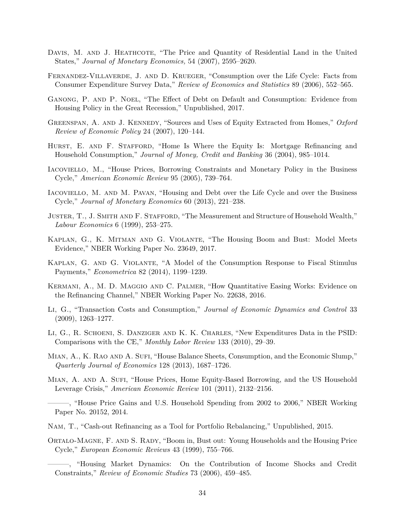- <span id="page-38-17"></span>DAVIS, M. AND J. HEATHCOTE, "The Price and Quantity of Residential Land in the United States," *Journal of Monetary Economics,* 54 (2007), 2595–2620.
- <span id="page-38-15"></span>Fernandez-Villaverde, J. and D. Krueger, "Consumption over the Life Cycle: Facts from Consumer Expenditure Survey Data," *Review of Economics and Statistics* 89 (2006), 552–565.
- <span id="page-38-14"></span>Ganong, P. and P. Noel, "The Effect of Debt on Default and Consumption: Evidence from Housing Policy in the Great Recession," Unpublished, 2017.
- <span id="page-38-3"></span>Greenspan, A. and J. Kennedy, "Sources and Uses of Equity Extracted from Homes," *Oxford Review of Economic Policy* 24 (2007), 120–144.
- <span id="page-38-7"></span>HURST, E. AND F. STAFFORD, "Home Is Where the Equity Is: Mortgage Refinancing and Household Consumption," *Journal of Money, Credit and Banking* 36 (2004), 985–1014.
- <span id="page-38-11"></span>Iacoviello, M., "House Prices, Borrowing Constraints and Monetary Policy in the Business Cycle," *American Economic Review* 95 (2005), 739–764.
- <span id="page-38-12"></span>Iacoviello, M. and M. Pavan, "Housing and Debt over the Life Cycle and over the Business Cycle," *Journal of Monetary Economics* 60 (2013), 221–238.
- <span id="page-38-9"></span>Juster, T., J. Smith and F. Stafford, "The Measurement and Structure of Household Wealth," *Labour Economics* 6 (1999), 253–275.
- <span id="page-38-13"></span>Kaplan, G., K. Mitman and G. Violante, "The Housing Boom and Bust: Model Meets Evidence," NBER Working Paper No. 23649, 2017.
- <span id="page-38-16"></span>Kaplan, G. and G. Violante, "A Model of the Consumption Response to Fiscal Stimulus Payments," *Econometrica* 82 (2014), 1199–1239.
- <span id="page-38-18"></span>Kermani, A., M. D. Maggio and C. Palmer, "How Quantitative Easing Works: Evidence on the Refinancing Channel," NBER Working Paper No. 22638, 2016.
- <span id="page-38-8"></span>Li, G., "Transaction Costs and Consumption," *Journal of Economic Dynamics and Control* 33 (2009), 1263–1277.
- <span id="page-38-10"></span>Li, G., R. Schoeni, S. Danziger and K. K. Charles, "New Expenditures Data in the PSID: Comparisons with the CE," *Monthly Labor Review* 133 (2010), 29–39.
- <span id="page-38-2"></span>MIAN, A., K. RAO AND A. SUFI, "House Balance Sheets, Consumption, and the Economic Slump," *Quarterly Journal of Economics* 128 (2013), 1687–1726.
- <span id="page-38-0"></span>MIAN, A. AND A. SUFI, "House Prices, Home Equity-Based Borrowing, and the US Household Leverage Crisis," *American Economic Review* 101 (2011), 2132–2156.

<span id="page-38-1"></span>———, "House Price Gains and U.S. Household Spending from 2002 to 2006," NBER Working Paper No. 20152, 2014.

- <span id="page-38-4"></span>Nam, T., "Cash-out Refinancing as a Tool for Portfolio Rebalancing," Unpublished, 2015.
- <span id="page-38-5"></span>Ortalo-Magne, F. and S. Rady, "Boom in, Bust out: Young Households and the Housing Price Cycle," *European Economic Reviews* 43 (1999), 755–766.

<span id="page-38-6"></span><sup>———, &</sup>quot;Housing Market Dynamics: On the Contribution of Income Shocks and Credit Constraints," *Review of Economic Studies* 73 (2006), 459–485.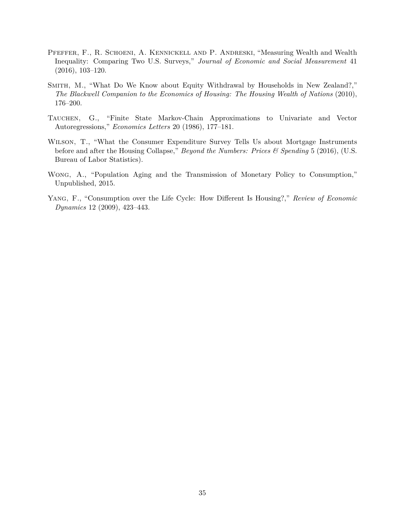- <span id="page-39-1"></span>Pfeffer, F., R. Schoeni, A. Kennickell and P. Andreski, "Measuring Wealth and Wealth Inequality: Comparing Two U.S. Surveys," *Journal of Economic and Social Measurement* 41 (2016), 103–120.
- <span id="page-39-0"></span>Smith, M., "What Do We Know about Equity Withdrawal by Households in New Zealand?," *The Blackwell Companion to the Economics of Housing: The Housing Wealth of Nations* (2010), 176–200.
- <span id="page-39-5"></span>Tauchen, G., "Finite State Markov-Chain Approximations to Univariate and Vector Autoregressions," *Economics Letters* 20 (1986), 177–181.
- <span id="page-39-4"></span>Wilson, T., "What the Consumer Expenditure Survey Tells Us about Mortgage Instruments before and after the Housing Collapse," *Beyond the Numbers: Prices & Spending* 5 (2016), (U.S. Bureau of Labor Statistics).
- <span id="page-39-2"></span>Wong, A., "Population Aging and the Transmission of Monetary Policy to Consumption," Unpublished, 2015.
- <span id="page-39-3"></span>Yang, F., "Consumption over the Life Cycle: How Different Is Housing?," *Review of Economic Dynamics* 12 (2009), 423–443.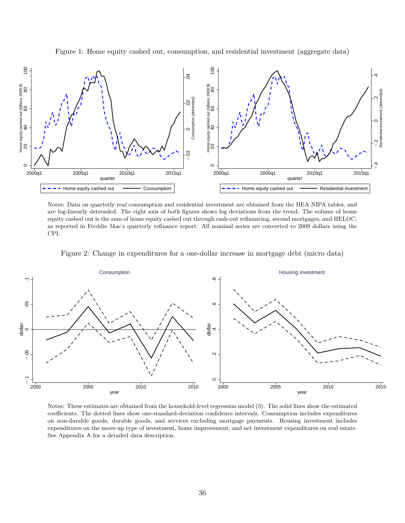<span id="page-40-0"></span>Figure 1: Home equity cashed out, consumption, and residential investment (aggregate data)



Notes: Data on quarterly real consumption and residential investment are obtained from the BEA NIPA tables, and are log-linearly detrended. The right axis of both figures shows log deviations from the trend. The volume of home equity cashed out is the sum of home equity cashed out through cash-out refinancing, second mortgages, and HELOC, as reported in Freddie Mac's quarterly refinance report. All nominal series are converted to 2009 dollars using the CPI.

<span id="page-40-1"></span>



Notes: These estimates are obtained from the household-level regression model [\(3\)](#page-15-0). The solid lines show the estimated coefficients. The dotted lines show one-standard-deviation confidence intervals. Consumption includes expenditures on non-durable goods, durable goods, and services excluding mortgage payments. Housing investment includes expenditures on the move-up type of investment, home improvement, and net investment expenditures on real estate. See Appendix [A](#page-53-0) for a detailed data description.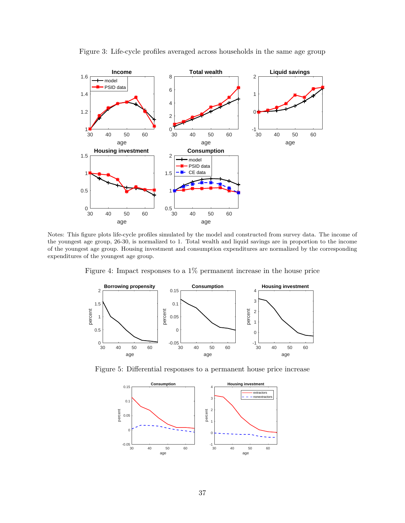<span id="page-41-0"></span>

Figure 3: Life-cycle profiles averaged across households in the same age group

Notes: This figure plots life-cycle profiles simulated by the model and constructed from survey data. The income of the youngest age group, 26-30, is normalized to 1. Total wealth and liquid savings are in proportion to the income of the youngest age group. Housing investment and consumption expenditures are normalized by the corresponding expenditures of the youngest age group.

Figure 4: Impact responses to a 1% permanent increase in the house price

<span id="page-41-1"></span>

<span id="page-41-2"></span>Figure 5: Differential responses to a permanent house price increase

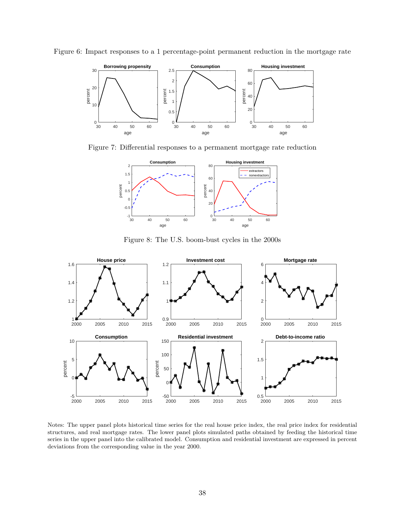<span id="page-42-0"></span>



<span id="page-42-1"></span>Figure 7: Differential responses to a permanent mortgage rate reduction



Figure 8: The U.S. boom-bust cycles in the 2000s

<span id="page-42-2"></span>

Notes: The upper panel plots historical time series for the real house price index, the real price index for residential structures, and real mortgage rates. The lower panel plots simulated paths obtained by feeding the historical time series in the upper panel into the calibrated model. Consumption and residential investment are expressed in percent deviations from the corresponding value in the year 2000.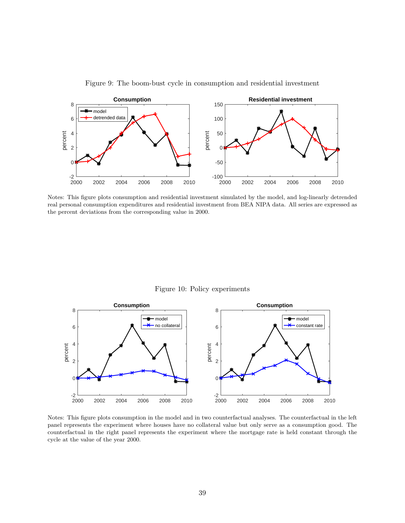<span id="page-43-0"></span>

Figure 9: The boom-bust cycle in consumption and residential investment

Notes: This figure plots consumption and residential investment simulated by the model, and log-linearly detrended real personal consumption expenditures and residential investment from BEA NIPA data. All series are expressed as the percent deviations from the corresponding value in 2000.

Figure 10: Policy experiments

<span id="page-43-1"></span>

Notes: This figure plots consumption in the model and in two counterfactual analyses. The counterfactual in the left panel represents the experiment where houses have no collateral value but only serve as a consumption good. The counterfactual in the right panel represents the experiment where the mortgage rate is held constant through the cycle at the value of the year 2000.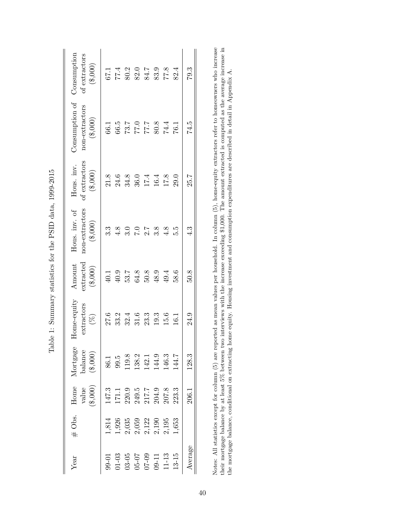|                                                       | extractors<br>$(\%)$ |      | Mortgage<br>balance<br>$(\$,000)$                  |
|-------------------------------------------------------|----------------------|------|----------------------------------------------------|
| $3.\overline{3}$                                      |                      |      |                                                    |
| $40.1$<br>$40.9$<br>$53.7$                            |                      |      |                                                    |
| $4.8$<br>3.0<br>7.0                                   |                      |      |                                                    |
| 64.8                                                  |                      |      |                                                    |
| $2.\overline{8}$<br>3.8<br>$50.8$<br>$48.9$<br>$49.4$ |                      |      | 86.1<br>99.5<br>119.8.2<br>112.1<br>144.7<br>144.7 |
|                                                       |                      |      |                                                    |
| 4.8                                                   |                      | 15.6 |                                                    |
| 5.9<br>58.6                                           |                      | 16.1 |                                                    |
| ર<br>4.<br>50.8                                       |                      | 24.9 | 128.3                                              |

<span id="page-44-0"></span>Table 1: Summary statistics for the PSID data, 1999-2015 Table 1: Summary statistics for the PSID data, 1999-2015 Notes: All statistics except for column (5) are reported as mean values per household. In column (5), home-equity extractors refer to homeowners who increase their mortgage balance by at least 5% between two interviews wi Notes: All statistics except for column (5) are reported as mean values per household. In column (5), home-equity extractors refer to homeowners who increase their mortgage balance by at least 5% between two interviews with the increase exceeding \$1,000. The amount extracted is computed as the average increase in the mortgage balance, conditional on extracting home equity. Housing investment and consumption expenditures are described in detail in Appendix [A.](#page-53-0)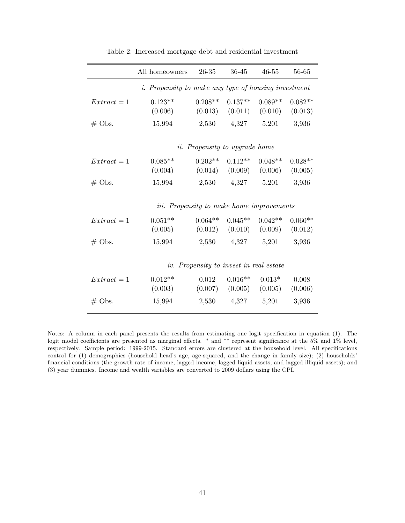<span id="page-45-0"></span>

|             | All homeowners                                              | 26-35     | 36-45                                   | $46 - 55$ | 56-65                |
|-------------|-------------------------------------------------------------|-----------|-----------------------------------------|-----------|----------------------|
|             |                                                             |           |                                         |           |                      |
|             | <i>i.</i> Propensity to make any type of housing investment |           |                                         |           |                      |
| $Extract=1$ | $0.123**$                                                   | $0.208**$ | $0.137**$                               | $0.089**$ | $0.082**$            |
|             | (0.006)                                                     |           | $(0.013)$ $(0.011)$ $(0.010)$ $(0.013)$ |           |                      |
| $#$ Obs.    | 15,994                                                      | 2,530     | 4,327                                   | 5,201     | 3,936                |
|             |                                                             |           | <i>ii.</i> Propensity to upgrade home   |           |                      |
|             | $0.085**$                                                   | $0.202**$ | $0.112**$                               | $0.048**$ |                      |
| $Extract=1$ | $(0.004)$ $(0.014)$ $(0.009)$ $(0.006)$                     |           |                                         |           | $0.028**$<br>(0.005) |
|             |                                                             |           |                                         |           |                      |
| $#$ Obs.    | 15,994                                                      |           | 2,530 4,327                             | 5,201     | 3,936                |
|             | <i>iii.</i> Propensity to make home improvements            |           |                                         |           |                      |
| $Extract=1$ | $0.051**$                                                   | $0.064**$ | $0.045**$                               | $0.042**$ | $0.060**$            |
|             | $(0.005)$ $(0.012)$ $(0.010)$ $(0.009)$                     |           |                                         |           | (0.012)              |
| $#$ Obs.    | 15,994                                                      |           | $2,530$ $4,327$ $5,201$                 |           | 3,936                |
|             |                                                             |           | iv. Propensity to invest in real estate |           |                      |
|             |                                                             |           |                                         |           |                      |
| $Extract=1$ | $0.012**$                                                   | 0.012     | $0.016**$                               | $0.013*$  | 0.008                |
|             | (0.003)                                                     |           | $(0.007)$ $(0.005)$ $(0.005)$           |           | (0.006)              |
| $#$ Obs.    | 15,994                                                      |           | 2,530 4,327 5,201                       |           | 3,936                |
|             |                                                             |           |                                         |           |                      |

Table 2: Increased mortgage debt and residential investment

Notes: A column in each panel presents the results from estimating one logit specification in equation [\(1\)](#page-11-0). The logit model coefficients are presented as marginal effects. \* and \*\* represent significance at the 5% and 1% level, respectively. Sample period: 1999-2015. Standard errors are clustered at the household level. All specifications control for (1) demographics (household head's age, age-squared, and the change in family size); (2) households' financial conditions (the growth rate of income, lagged income, lagged liquid assets, and lagged illiquid assets); and (3) year dummies. Income and wealth variables are converted to 2009 dollars using the CPI.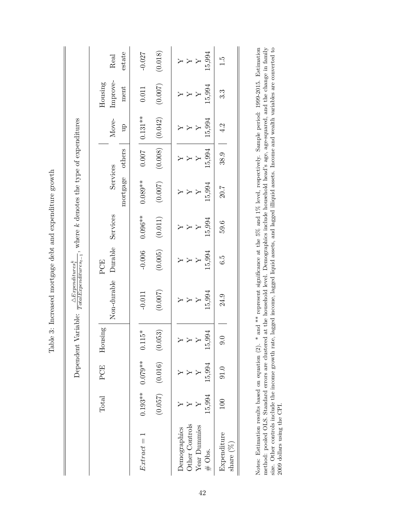|                                                                                                                            | estate<br>Real              | (0.018)<br>$-0.027$                        | 15,994                                                   | F.                                  |
|----------------------------------------------------------------------------------------------------------------------------|-----------------------------|--------------------------------------------|----------------------------------------------------------|-------------------------------------|
|                                                                                                                            | Improve-<br>Housing<br>ment | (0.007)<br>0.011                           | 15,994                                                   | ಬ್ರ                                 |
|                                                                                                                            | Move-<br>qn                 | $0.131**$<br>(0.042)                       | 15,994                                                   | 4.2                                 |
|                                                                                                                            | others                      | (0.008)<br>1000                            | 15,994                                                   | $\begin{array}{c} 38.9 \end{array}$ |
|                                                                                                                            | Services<br>mortgage        | $0.089**$<br>(0.007)                       | 15,994                                                   | 20.7                                |
|                                                                                                                            | Services                    | $0.096**$<br>(0.011)                       | 15,994                                                   | 59.6                                |
|                                                                                                                            | Durable<br>PCE              | (0.005)<br>$-0.006$                        | 15,994                                                   | G.G                                 |
| $\overbrace{TotalExpenditures_{t-1}}^{m\times r\times m\times m\times s}\text{, where }k$ denotes the type of expenditures | Non-durable                 | (0.007)<br>$-0.011$                        | 15,994                                                   | 24.9                                |
| Dependent Variable:                                                                                                        | Housing                     | $15*$<br>0.1                               | 994<br>$\overline{15}$                                   | 0                                   |
|                                                                                                                            | PCE                         | $(0.057)$ $(0.016)$ $(0.053)$<br>$0.079**$ | 15,994                                                   | 91.0                                |
|                                                                                                                            | Total                       | $0.193***$                                 | 15,994                                                   | 100                                 |
|                                                                                                                            |                             | $Extract=1$                                | Other Controls<br>Year Dummies<br>Demographics<br># Obs. | Expenditure<br>share $(\%)$         |

Notes: Estimation results based on equation (2). \* and \*\* represent significance at the 5% and 1% level, respectively. Sample period: 1999-2015. Estimation method: pooled OLS. Standard errors are clustered at the househol Notes: Estimation results based on equation [\(2\)](#page-13-0). \* and \*\* represent significance at the 5% and 1% level, respectively. Sample period: 1999-2015. Estimation method: pooled OLS. Standard errors are clustered at the household level. Demographics include household head's age, age-squared, and the change in family size. Other controls include the income growth rate, lagged income, lagged liquid assets, and lagged illiquid assets. Income and wealth variables are converted to 2009 dollars using the CPI.

<span id="page-46-0"></span>Table 3: Increased mortgage debt and expenditure growth Table 3: Increased mortgage debt and expenditure growth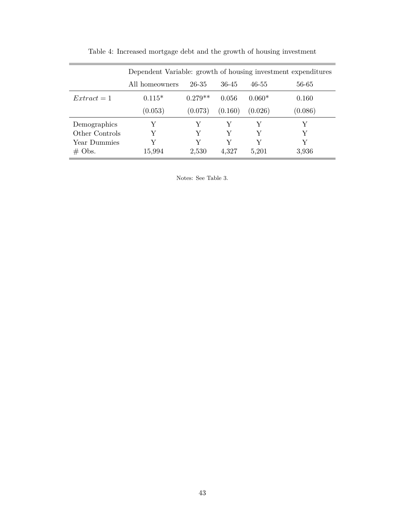<span id="page-47-0"></span>

|                |                |           |         |           | Dependent Variable: growth of housing investment expenditures |
|----------------|----------------|-----------|---------|-----------|---------------------------------------------------------------|
|                | All homeowners | 26-35     | 36-45   | $46 - 55$ | 56-65                                                         |
| $Extract=1$    | $0.115*$       | $0.279**$ | 0.056   | $0.060*$  | 0.160                                                         |
|                | (0.053)        | (0.073)   | (0.160) | (0.026)   | (0.086)                                                       |
| Demographics   | Y              | Y         | Y       | V         | Y                                                             |
| Other Controls | Y              | V         | Y       | V         | Y                                                             |
| Year Dummies   | V              | V         | V       | V         | Y                                                             |
| $\#$ Obs.      | 15,994         | 2,530     | 4,327   | 5,201     | 3,936                                                         |

Table 4: Increased mortgage debt and the growth of housing investment

Notes: See Table [3.](#page-46-0)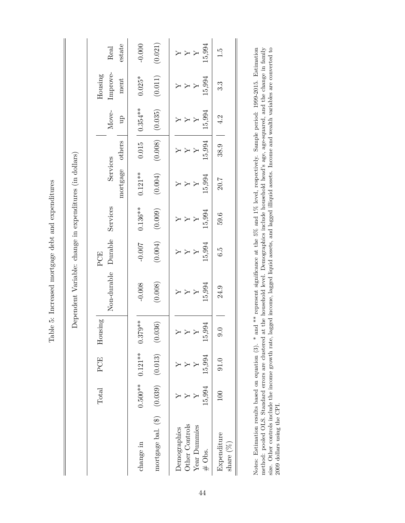<span id="page-48-0"></span>Table 5: Increased mortgage debt and expenditures Table 5: Increased mortgage debt and expenditures Dependent Variable: change in expenditures (in dollars) Dependent Variable: change in expenditures (in dollars)

|                                                                                         | Total         | PCE            | Housing        |                                | PCE                                 |                |                |                                                                 |               | $\operatorname{Housing}$ |                                        |
|-----------------------------------------------------------------------------------------|---------------|----------------|----------------|--------------------------------|-------------------------------------|----------------|----------------|-----------------------------------------------------------------|---------------|--------------------------|----------------------------------------|
|                                                                                         |               |                |                | Non-durable                    | Durable                             | Services       | Services       |                                                                 | Move-         | Improve-                 | Real                                   |
|                                                                                         |               |                |                |                                |                                     |                | mortgage       | others                                                          | $\mathbf{p}$  | ment                     | estate                                 |
| change in                                                                               | $0.500***$    | $0.121**$      | $79**$<br>0.37 | $-0.008$                       | $-0.007$                            | $0.136**$      | $0.121**$      | $0.015$                                                         | $0.354***$    | $0.025*$                 | $-0.000$                               |
| mortgage bal. (\$) (0.039) (0.013) (0.036)                                              |               |                |                | (0.008)                        | (0.004)                             | (0.009)        | (0.004)        | (0.008)                                                         | (0.035)       | (0.011)                  | (0.021)                                |
| Other Controls<br>Year Dummies<br>Demographics<br>Expenditure<br>share $(\%)$<br># Obs. | 15,994<br>100 | 15,994<br>91.0 | 15,994<br>0.6  | 15,994<br>24.9<br>$\mathsf{Y}$ | 15,994<br>$\ddot{6} \cdot \ddot{9}$ | 15,994<br>59.6 | 15,994<br>20.7 | $\begin{array}{c c} \hline 38.9 & \hline \end{array}$<br>15,994 | 15,994<br>4.2 | 15,994<br>3.3            | 15,994<br>$\overline{Y}$<br>$\ddot{1}$ |

Notes: Estimation results based on equation (3). \* and \*\* represent significance at the 5% and 1% level, respectively. Sample period: 1999-2015. Estimation method: pooled OLS. Standard errors are clustered at the bousehol Notes: Estimation results based on equation [\(3\)](#page-15-0). \* and \*\* represent significance at the 5% and 1% level, respectively. Sample period: 1999-2015. Estimation method: pooled OLS. Standard errors are clustered at the household level. Demographics include household head's age, age-squared, and the change in family size. Other controls include the income growth rate, lagged income, lagged liquid assets, and lagged illiquid assets. Income and wealth variables are converted to 2009 dollars using the CPI.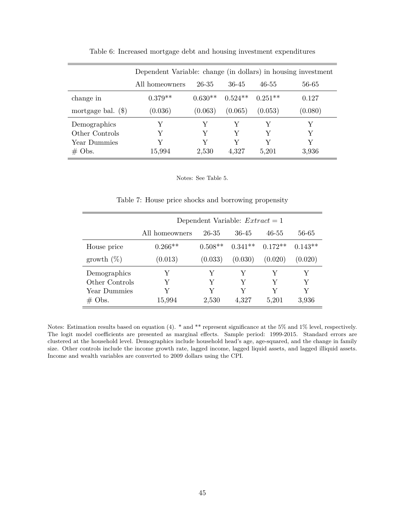<span id="page-49-0"></span>

|                      |                | Dependent Variable: change (in dollars) in housing investment |           |           |         |  |  |  |  |  |
|----------------------|----------------|---------------------------------------------------------------|-----------|-----------|---------|--|--|--|--|--|
|                      | All homeowners | 26-35                                                         | 36-45     | 46-55     | 56-65   |  |  |  |  |  |
| change in            | $0.379**$      | $0.630**$                                                     | $0.524**$ | $0.251**$ | 0.127   |  |  |  |  |  |
| mortgage bal. $(\$)$ | (0.036)        | (0.063)                                                       | (0.065)   | (0.053)   | (0.080) |  |  |  |  |  |
| Demographics         | Y              | V                                                             | Y         | V         | V       |  |  |  |  |  |
| Other Controls       | Y              | Y                                                             | Y         | Y         |         |  |  |  |  |  |
| Year Dummies         | V              | V                                                             | Y         | V         | V       |  |  |  |  |  |
| $# \, \text{Obs}.$   | 15,994         | 2,530                                                         | 4,327     | 5,201     | 3,936   |  |  |  |  |  |

Table 6: Increased mortgage debt and housing investment expenditures

#### Notes: See Table [5.](#page-48-0)

Table 7: House price shocks and borrowing propensity

<span id="page-49-1"></span>

|                |                | Dependent Variable: $Extract=1$ |           |           |           |
|----------------|----------------|---------------------------------|-----------|-----------|-----------|
|                | All homeowners | 26-35                           | 36-45     | $46 - 55$ | 56-65     |
| House price    | $0.266**$      | $0.508**$                       | $0.341**$ | $0.172**$ | $0.143**$ |
| growth $(\%)$  | (0.013)        | (0.033)                         | (0.030)   | (0.020)   | (0.020)   |
| Demographics   | Y              | V                               | Y         | Y         | Y         |
| Other Controls | Y              | V                               | V         | V         | Y         |
| Year Dummies   | V              | V                               | V         | V         | Y         |
| $\#$ Obs.      | 15,994         | 2,530                           | 4,327     | 5,201     | 3,936     |

Notes: Estimation results based on equation [\(4\)](#page-17-0). \* and \*\* represent significance at the 5% and 1% level, respectively. The logit model coefficients are presented as marginal effects. Sample period: 1999-2015. Standard errors are clustered at the household level. Demographics include household head's age, age-squared, and the change in family size. Other controls include the income growth rate, lagged income, lagged liquid assets, and lagged illiquid assets. Income and wealth variables are converted to 2009 dollars using the CPI.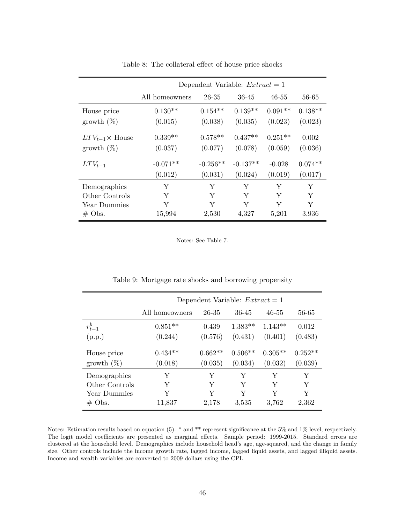<span id="page-50-0"></span>

|                          |                | Dependent Variable: $Extract=1$ |            |           |           |
|--------------------------|----------------|---------------------------------|------------|-----------|-----------|
|                          | All homeowners | $26 - 35$                       | $36 - 45$  | $46 - 55$ | 56-65     |
| House price              | $0.130**$      | $0.154**$                       | $0.139**$  | $0.091**$ | $0.138**$ |
| growth $(\%)$            | (0.015)        | (0.038)                         | (0.035)    | (0.023)   | (0.023)   |
| $LTV_{t-1} \times$ House | $0.339**$      | $0.578**$                       | $0.437**$  | $0.251**$ | 0.002     |
| growth $(\%)$            | (0.037)        | (0.077)                         | (0.078)    | (0.059)   | (0.036)   |
| $LTV_{t-1}$              | $-0.071**$     | $-0.256**$                      | $-0.137**$ | $-0.028$  | $0.074**$ |
|                          | (0.012)        | (0.031)                         | (0.024)    | (0.019)   | (0.017)   |
| Demographics             | Υ              | Υ                               | Y          | Υ         | Υ         |
| Other Controls           | Y              | Y                               | Y          | Y         | Υ         |
| Year Dummies             | Y              | Y                               | Y          | Y         | Y         |
| $\#$ Obs.                | 15,994         | 2,530                           | 4,327      | 5,201     | 3,936     |

Table 8: The collateral effect of house price shocks

Notes: See Table [7.](#page-49-1)

<span id="page-50-1"></span>

|                |                | Dependent Variable: $Extract=1$ |           |           |           |
|----------------|----------------|---------------------------------|-----------|-----------|-----------|
|                | All homeowners | 26-35                           | 36-45     | $46 - 55$ | 56-65     |
| $r_{t-1}^b$    | $0.851**$      | 0.439                           | $1.383**$ | $1.143**$ | 0.012     |
| (p.p.)         | (0.244)        | (0.576)                         | (0.431)   | (0.401)   | (0.483)   |
| House price    | $0.434**$      | $0.662**$                       | $0.506**$ | $0.305**$ | $0.252**$ |
| growth $(\%)$  | (0.018)        | (0.035)                         | (0.034)   | (0.032)   | (0.039)   |
| Demographics   | Y              | Y                               | Y         | Y         | Y         |
| Other Controls | Y              | Y                               | Y         | Y         | Y         |
| Year Dummies   | Y              | Y                               | Y         | Y         | Y         |
| $\#$ Obs.      | 11,837         | 2,178                           | 3,535     | 3,762     | 2,362     |

Table 9: Mortgage rate shocks and borrowing propensity

Notes: Estimation results based on equation [\(5\)](#page-19-0). \* and \*\* represent significance at the 5% and 1% level, respectively. The logit model coefficients are presented as marginal effects. Sample period: 1999-2015. Standard errors are clustered at the household level. Demographics include household head's age, age-squared, and the change in family size. Other controls include the income growth rate, lagged income, lagged liquid assets, and lagged illiquid assets. Income and wealth variables are converted to 2009 dollars using the CPI.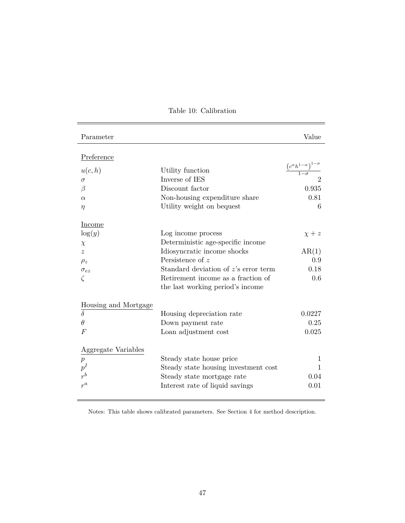<span id="page-51-0"></span>

| Parameter            |                                      | Value                                                             |
|----------------------|--------------------------------------|-------------------------------------------------------------------|
| Preference           |                                      |                                                                   |
| u(c, h)              | Utility function                     | $\frac{\left(c^{\alpha}h^{1-\alpha}\right)^{1-\sigma}}{1-\sigma}$ |
| $\sigma$             | Inverse of IES                       | $\overline{2}$                                                    |
| $\beta$              | Discount factor                      | 0.935                                                             |
| $\alpha$             | Non-housing expenditure share        | 0.81                                                              |
| $\eta$               | Utility weight on bequest            | 6                                                                 |
| Income               |                                      |                                                                   |
| $\log(y)$            | Log income process                   | $\chi + z$                                                        |
| $\chi$               | Deterministic age-specific income    |                                                                   |
| $\tilde{z}$          | Idiosyncratic income shocks          | AR(1)                                                             |
| $\rho_z$             | Persistence of $z$                   | 0.9                                                               |
| $\sigma_{ez}$        | Standard deviation of z's error term | 0.18                                                              |
| $\zeta$              | Retirement income as a fraction of   | 0.6                                                               |
|                      | the last working period's income     |                                                                   |
| Housing and Mortgage |                                      |                                                                   |
| $\overline{\delta}$  | Housing depreciation rate            | 0.0227                                                            |
| $\theta$             | Down payment rate                    | 0.25                                                              |
| $\overline{F}$       | Loan adjustment cost                 | 0.025                                                             |
| Aggregate Variables  |                                      |                                                                   |
| $\overline{p}$       | Steady state house price             | 1                                                                 |
| $p^I$                | Steady state housing investment cost | 1                                                                 |
|                      | Steady state mortgage rate           | 0.04                                                              |
| $r^a$                | Interest rate of liquid savings      | 0.01                                                              |

Table 10: Calibration

Notes: This table shows calibrated parameters. See Section [4](#page-24-0) for method description.

÷,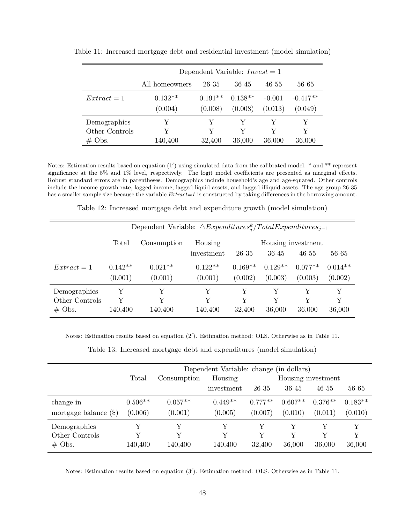|                |                |           | Dependent Variable: $Invest = 1$ |          |            |
|----------------|----------------|-----------|----------------------------------|----------|------------|
|                | All homeowners | 26-35     | 36-45                            | 46-55    | 56-65      |
| $Extract=1$    | $0.132**$      | $0.191**$ | $0.138**$                        | $-0.001$ | $-0.417**$ |
|                | (0.004)        | (0.008)   | (0.008)                          | (0.013)  | (0.049)    |
| Demographics   | Y              | Y         | Y                                | Y        | V          |
| Other Controls | Y              | V         | V                                | V        | V          |
| $\#$ Obs.      | 140,400        | 32,400    | 36,000                           | 36,000   | 36,000     |

<span id="page-52-0"></span>Table 11: Increased mortgage debt and residential investment (model simulation)

Notes: Estimation results based on equation  $(1')$  $(1')$  using simulated data from the calibrated model.  $*$  and  $**$  represent significance at the 5% and 1% level, respectively. The logit model coefficients are presented as marginal effects. Robust standard errors are in parentheses. Demographics include household's age and age-squared. Other controls include the income growth rate, lagged income, lagged liquid assets, and lagged illiquid assets. The age group 26-35 has a smaller sample size because the variable *Extract=1* is constructed by taking differences in the borrowing amount.

Table 12: Increased mortgage debt and expenditure growth (model simulation)

<span id="page-52-1"></span>

|                |           | Dependent Variable: $\triangle Expenditures^k_i/TotalExpenditures_{i-1}$ |            |           |           |                    |           |
|----------------|-----------|--------------------------------------------------------------------------|------------|-----------|-----------|--------------------|-----------|
|                | Total     | Consumption                                                              | Housing    |           |           | Housing investment |           |
|                |           |                                                                          | investment | 26-35     | 36-45     | $46 - 55$          | 56-65     |
| $Extract=1$    | $0.142**$ | $0.021**$                                                                | $0.122**$  | $0.169**$ | $0.129**$ | $0.077**$          | $0.014**$ |
|                | (0.001)   | (0.001)                                                                  | (0.001)    | (0.002)   | (0.003)   | (0.003)            | (0.002)   |
| Demographics   | Y         | Y                                                                        | Y          | Y         | Y         | Y                  | Y         |
| Other Controls | V         | Y                                                                        | Y          | Y         | V         | V                  | Y         |
| $#$ Obs.       | 140,400   | 140,400                                                                  | 140,400    | 32,400    | 36,000    | 36,000             | 36,000    |

Notes: Estimation results based on equation [\(2](#page-28-0)'). Estimation method: OLS. Otherwise as in Table [11.](#page-52-0)

|  |  | Table 13: Increased mortgage debt and expenditures (model simulation) |  |  |
|--|--|-----------------------------------------------------------------------|--|--|
|  |  |                                                                       |  |  |

<span id="page-52-2"></span>

|                                            | Dependent Variable: change (in dollars)<br>Total<br>Housing<br>Housing investment<br>Consumption |                      |                      |                      |                      |                      |                      |
|--------------------------------------------|--------------------------------------------------------------------------------------------------|----------------------|----------------------|----------------------|----------------------|----------------------|----------------------|
|                                            |                                                                                                  |                      | investment           | 26-35                | 36-45                | $46 - 55$            | 56-65                |
| change in<br>mortgage balance $(\$)$       | $0.506**$<br>(0.006)                                                                             | $0.057**$<br>(0.001) | $0.449**$<br>(0.005) | $0.777**$<br>(0.007) | $0.607**$<br>(0.010) | $0.376**$<br>(0.011) | $0.183**$<br>(0.010) |
| Demographics<br>Other Controls<br>$#$ Obs. | $\rm v$<br>140,400                                                                               | Y<br>Y<br>140,400    | Y<br>Y<br>140,400    | Y<br>32,400          | Y<br>Y<br>36,000     | Y<br>Y<br>36,000     | V<br>Y<br>36,000     |

Notes: Estimation results based on equation [\(3](#page-28-0)'). Estimation method: OLS. Otherwise as in Table [11.](#page-52-0)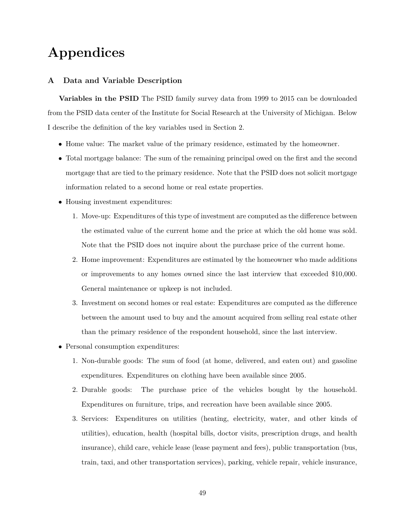# **Appendices**

#### <span id="page-53-0"></span>**A Data and Variable Description**

**Variables in the PSID** The PSID family survey data from 1999 to 2015 can be downloaded from the PSID data center of the Institute for Social Research at the University of Michigan. Below I describe the definition of the key variables used in Section [2.](#page-8-0)

- Home value: The market value of the primary residence, estimated by the homeowner.
- Total mortgage balance: The sum of the remaining principal owed on the first and the second mortgage that are tied to the primary residence. Note that the PSID does not solicit mortgage information related to a second home or real estate properties.
- Housing investment expenditures:
	- 1. Move-up: Expenditures of this type of investment are computed as the difference between the estimated value of the current home and the price at which the old home was sold. Note that the PSID does not inquire about the purchase price of the current home.
	- 2. Home improvement: Expenditures are estimated by the homeowner who made additions or improvements to any homes owned since the last interview that exceeded \$10,000. General maintenance or upkeep is not included.
	- 3. Investment on second homes or real estate: Expenditures are computed as the difference between the amount used to buy and the amount acquired from selling real estate other than the primary residence of the respondent household, since the last interview.
- Personal consumption expenditures:
	- 1. Non-durable goods: The sum of food (at home, delivered, and eaten out) and gasoline expenditures. Expenditures on clothing have been available since 2005.
	- 2. Durable goods: The purchase price of the vehicles bought by the household. Expenditures on furniture, trips, and recreation have been available since 2005.
	- 3. Services: Expenditures on utilities (heating, electricity, water, and other kinds of utilities), education, health (hospital bills, doctor visits, prescription drugs, and health insurance), child care, vehicle lease (lease payment and fees), public transportation (bus, train, taxi, and other transportation services), parking, vehicle repair, vehicle insurance,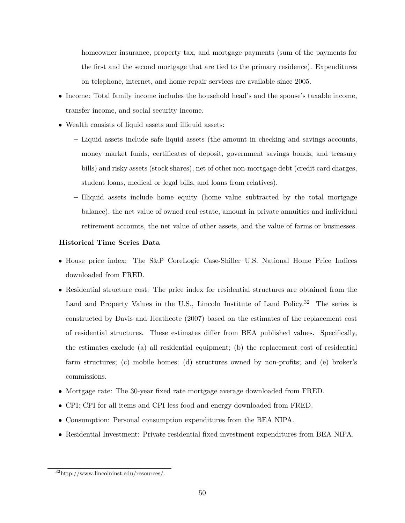homeowner insurance, property tax, and mortgage payments (sum of the payments for the first and the second mortgage that are tied to the primary residence). Expenditures on telephone, internet, and home repair services are available since 2005.

- Income: Total family income includes the household head's and the spouse's taxable income, transfer income, and social security income.
- Wealth consists of liquid assets and illiquid assets:
	- **–** Liquid assets include safe liquid assets (the amount in checking and savings accounts, money market funds, certificates of deposit, government savings bonds, and treasury bills) and risky assets (stock shares), net of other non-mortgage debt (credit card charges, student loans, medical or legal bills, and loans from relatives).
	- **–** Illiquid assets include home equity (home value subtracted by the total mortgage balance), the net value of owned real estate, amount in private annuities and individual retirement accounts, the net value of other assets, and the value of farms or businesses.

#### **Historical Time Series Data**

- House price index: The S&P CoreLogic Case-Shiller U.S. National Home Price Indices downloaded from FRED.
- Residential structure cost: The price index for residential structures are obtained from the Land and Property Values in the U.S., Lincoln Institute of Land Policy.<sup>32</sup> The series is constructed by [Davis and Heathcote](#page-38-17) [\(2007\)](#page-38-17) based on the estimates of the replacement cost of residential structures. These estimates differ from BEA published values. Specifically, the estimates exclude (a) all residential equipment; (b) the replacement cost of residential farm structures; (c) mobile homes; (d) structures owned by non-profits; and (e) broker's commissions.
- Mortgage rate: The 30-year fixed rate mortgage average downloaded from FRED.
- CPI: CPI for all items and CPI less food and energy downloaded from FRED.
- Consumption: Personal consumption expenditures from the BEA NIPA.
- <span id="page-54-0"></span>• Residential Investment: Private residential fixed investment expenditures from BEA NIPA.

<sup>32</sup>http://www.lincolninst.edu/resources/.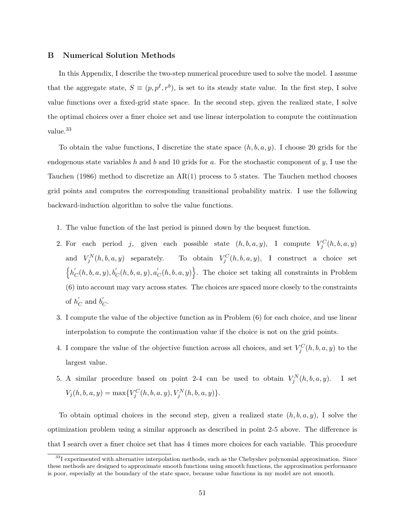#### **B Numerical Solution Methods**

In this Appendix, I describe the two-step numerical procedure used to solve the model. I assume that the aggregate state,  $S \equiv (p, p^I, r^b)$ , is set to its steady state value. In the first step, I solve value functions over a fixed-grid state space. In the second step, given the realized state, I solve the optimal choices over a finer choice set and use linear interpolation to compute the continuation value.<sup>33</sup>

To obtain the value functions, I discretize the state space (*h, b, a, y*). I choose 20 grids for the endogenous state variables *h* and *b* and 10 grids for *a*. For the stochastic component of *y*, I use the [Tauchen](#page-39-5) [\(1986\)](#page-39-5) method to discretize an AR(1) process to 5 states. The Tauchen method chooses grid points and computes the corresponding transitional probability matrix. I use the following backward-induction algorithm to solve the value functions.

- 1. The value function of the last period is pinned down by the bequest function.
- 2. For each period *j*, given each possible state  $(h, b, a, y)$ , I compute  $V_j^C(h, b, a, y)$ and  $V_j^N(h, b, a, y)$  separately. To obtain  $V_j^C(h, b, a, y)$ , I construct a choice set  $\{h'_c\}$  $\int_C (h, b, a, y), b_C^{'}(h, b, a, y), a_C^{'}$  $C<sub>C</sub>(h, b, a, y)$ . The choice set taking all constraints in Problem [\(6\)](#page-22-0) into account may vary across states. The choices are spaced more closely to the constraints of  $h'$ <sub> $\alpha$ </sub>  $\frac{b}{C}$  and  $b'$ <sub>0</sub> *C* .
- 3. I compute the value of the objective function as in Problem [\(6\)](#page-22-0) for each choice, and use linear interpolation to compute the continuation value if the choice is not on the grid points.
- 4. I compare the value of the objective function across all choices, and set  $V_j^C(h, b, a, y)$  to the largest value.
- 5. A similar procedure based on point 2-4 can be used to obtain  $V_j^N(h, b, a, y)$ . I set  $V_j(h, b, a, y) = \max\{V_j^C(h, b, a, y), V_j^N(h, b, a, y)\}.$

To obtain optimal choices in the second step, given a realized state  $(h, b, a, y)$ , I solve the optimization problem using a similar approach as described in point 2-5 above. The difference is that I search over a finer choice set that has 4 times more choices for each variable. This procedure

 $33$ I experimented with alternative interpolation methods, such as the Chebyshev polynomial approximation. Since these methods are designed to approximate smooth functions using smooth functions, the approximation performance is poor, especially at the boundary of the state space, because value functions in my model are not smooth.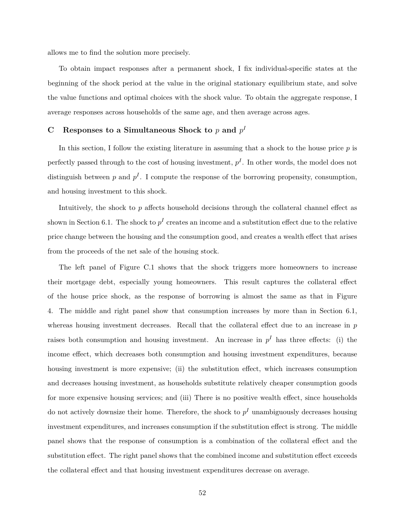allows me to find the solution more precisely.

To obtain impact responses after a permanent shock, I fix individual-specific states at the beginning of the shock period at the value in the original stationary equilibrium state, and solve the value functions and optimal choices with the shock value. To obtain the aggregate response, I average responses across households of the same age, and then average across ages.

#### <span id="page-56-0"></span> $C$  **Responses to a Simultaneous Shock to**  $p$  and  $p<sup>I</sup>$

In this section, I follow the existing literature in assuming that a shock to the house price *p* is perfectly passed through to the cost of housing investment,  $p<sup>I</sup>$ . In other words, the model does not distinguish between  $p$  and  $p<sup>I</sup>$ . I compute the response of the borrowing propensity, consumption, and housing investment to this shock.

Intuitively, the shock to *p* affects household decisions through the collateral channel effect as shown in Section [6.1.](#page-30-1) The shock to  $p<sup>I</sup>$  creates an income and a substitution effect due to the relative price change between the housing and the consumption good, and creates a wealth effect that arises from the proceeds of the net sale of the housing stock.

The left panel of Figure [C.1](#page-57-1) shows that the shock triggers more homeowners to increase their mortgage debt, especially young homeowners. This result captures the collateral effect of the house price shock, as the response of borrowing is almost the same as that in Figure [4.](#page-41-1) The middle and right panel show that consumption increases by more than in Section [6.1,](#page-30-1) whereas housing investment decreases. Recall that the collateral effect due to an increase in *p* raises both consumption and housing investment. An increase in  $p<sup>I</sup>$  has three effects: (i) the income effect, which decreases both consumption and housing investment expenditures, because housing investment is more expensive; (ii) the substitution effect, which increases consumption and decreases housing investment, as households substitute relatively cheaper consumption goods for more expensive housing services; and (iii) There is no positive wealth effect, since households do not actively downsize their home. Therefore, the shock to  $p<sup>I</sup>$  unambiguously decreases housing investment expenditures, and increases consumption if the substitution effect is strong. The middle panel shows that the response of consumption is a combination of the collateral effect and the substitution effect. The right panel shows that the combined income and substitution effect exceeds the collateral effect and that housing investment expenditures decrease on average.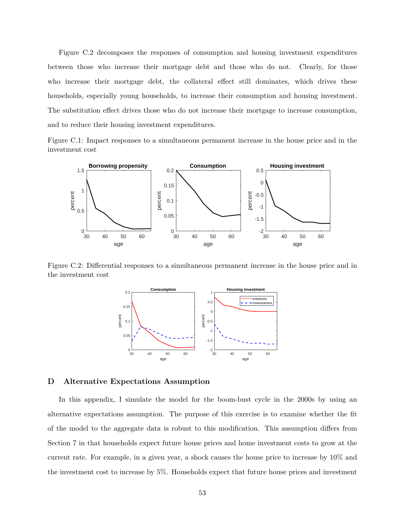Figure [C.2](#page-57-2) decomposes the responses of consumption and housing investment expenditures between those who increase their mortgage debt and those who do not. Clearly, for those who increase their mortgage debt, the collateral effect still dominates, which drives these households, especially young households, to increase their consumption and housing investment. The substitution effect drives those who do not increase their mortgage to increase consumption, and to reduce their housing investment expenditures.

Figure C.1: Impact responses to a simultaneous permanent increase in the house price and in the investment cost

<span id="page-57-1"></span>

<span id="page-57-2"></span>Figure C.2: Differential responses to a simultaneous permanent increase in the house price and in the investment cost



#### <span id="page-57-0"></span>**D Alternative Expectations Assumption**

In this appendix, I simulate the model for the boom-bust cycle in the 2000s by using an alternative expectations assumption. The purpose of this exercise is to examine whether the fit of the model to the aggregate data is robust to this modification. This assumption differs from Section [7](#page-32-0) in that households expect future house prices and home investment costs to grow at the current rate. For example, in a given year, a shock causes the house price to increase by 10% and the investment cost to increase by 5%. Households expect that future house prices and investment